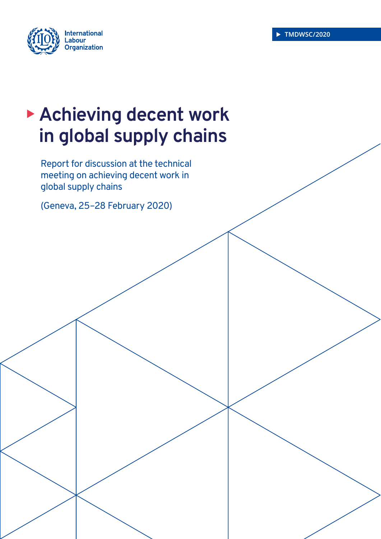

# **Achieving decent work in global supply chains**

Report for discussion at the technical meeting on achieving decent work in global supply chains

(Geneva, 25–28 February 2020)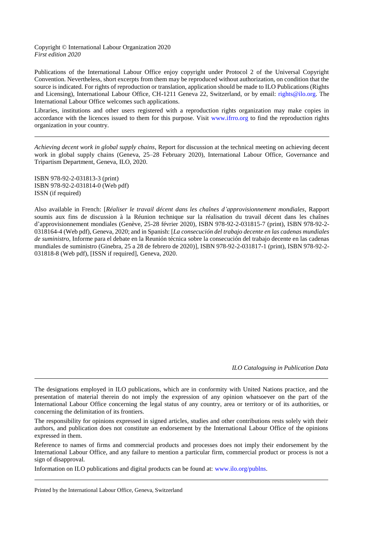#### Copyright © International Labour Organization 2020 *First edition 2020*

Publications of the International Labour Office enjoy copyright under Protocol 2 of the Universal Copyright Convention. Nevertheless, short excerpts from them may be reproduced without authorization, on condition that the source is indicated. For rights of reproduction or translation, application should be made to ILO Publications (Rights and Licensing), International Labour Office, CH-1211 Geneva 22, Switzerland, or by email: [rights@ilo.org.](mailto:rights@ilo.org) The International Labour Office welcomes such applications.

Libraries, institutions and other users registered with a reproduction rights organization may make copies in accordance with the licences issued to them for this purpose. Visit [www.ifrro.org](http://www.ifrro.org/) to find the reproduction rights organization in your country.

*Achieving decent work in global supply chains*, Report for discussion at the technical meeting on achieving decent work in global supply chains (Geneva, 25–28 February 2020), International Labour Office, Governance and Tripartism Department, Geneva, ILO, 2020.

ISBN 978-92-2-031813-3 (print) ISBN 978-92-2-031814-0 (Web pdf) ISSN (if required)

Also available in French: [*Réaliser le travail décent dans les chaînes d'approvisionnement mondiales*, Rapport soumis aux fins de discussion à la Réunion technique sur la réalisation du travail décent dans les chaînes d'approvisionnement mondiales (Genève, 25-28 février 2020), ISBN 978-92-2-031815-7 (print), ISBN 978-92-2- 0318164-4 (Web pdf), Geneva, 2020; and in Spanish: [*La consecución del trabajo decente en las cadenas mundiales de suministro*, Informe para el debate en la Reunión técnica sobre la consecución del trabajo decente en las cadenas mundiales de suministro (Ginebra, 25 a 28 de febrero de 2020)], ISBN 978-92-2-031817-1 (print), ISBN 978-92-2- 031818-8 (Web pdf), [ISSN if required], Geneva, 2020.

*ILO Cataloguing in Publication Data*

The designations employed in ILO publications, which are in conformity with United Nations practice, and the presentation of material therein do not imply the expression of any opinion whatsoever on the part of the International Labour Office concerning the legal status of any country, area or territory or of its authorities, or concerning the delimitation of its frontiers.

The responsibility for opinions expressed in signed articles, studies and other contributions rests solely with their authors, and publication does not constitute an endorsement by the International Labour Office of the opinions expressed in them.

Reference to names of firms and commercial products and processes does not imply their endorsement by the International Labour Office, and any failure to mention a particular firm, commercial product or process is not a sign of disapproval.

Information on ILO publications and digital products can be found at: [www.ilo.org/publns.](http://www.ilo.org/publns)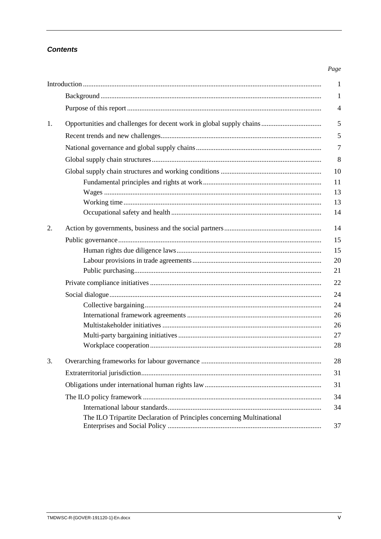# **Contents**

#### Page

|    |                                                                       | $\mathbf{1}$   |
|----|-----------------------------------------------------------------------|----------------|
|    |                                                                       | 1              |
|    |                                                                       | $\overline{4}$ |
| 1. |                                                                       | 5              |
|    |                                                                       | 5              |
|    |                                                                       | $\overline{7}$ |
|    |                                                                       | 8              |
|    |                                                                       | 10             |
|    |                                                                       | 11             |
|    |                                                                       | 13             |
|    |                                                                       | 13             |
|    |                                                                       | 14             |
| 2. |                                                                       | 14             |
|    |                                                                       | 15             |
|    |                                                                       | 15             |
|    |                                                                       | 20             |
|    |                                                                       | 21             |
|    |                                                                       | 22             |
|    |                                                                       | 24             |
|    |                                                                       | 24             |
|    |                                                                       | 26             |
|    |                                                                       | 26             |
|    |                                                                       | 27             |
|    |                                                                       | 28             |
| 3. |                                                                       | 28             |
|    |                                                                       | 31             |
|    |                                                                       | 31             |
|    |                                                                       | 34             |
|    |                                                                       | 34             |
|    | The ILO Tripartite Declaration of Principles concerning Multinational | 37             |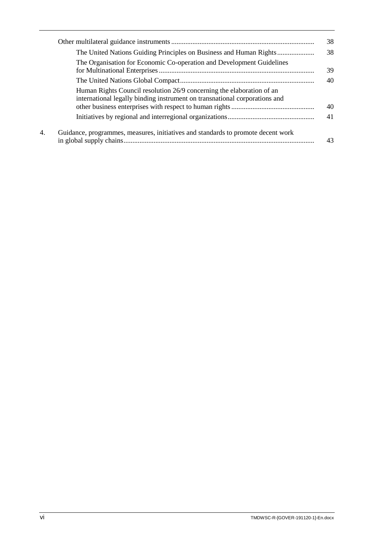|    |                                                                                                                                                     | 38 |
|----|-----------------------------------------------------------------------------------------------------------------------------------------------------|----|
|    |                                                                                                                                                     | 38 |
|    | The Organisation for Economic Co-operation and Development Guidelines                                                                               | 39 |
|    |                                                                                                                                                     | 40 |
|    | Human Rights Council resolution 26/9 concerning the elaboration of an<br>international legally binding instrument on transnational corporations and | 40 |
|    |                                                                                                                                                     | 41 |
| 4. | Guidance, programmes, measures, initiatives and standards to promote decent work                                                                    | 43 |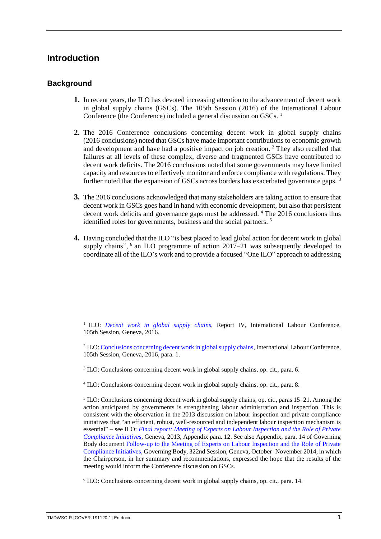# <span id="page-4-0"></span>**Introduction**

# <span id="page-4-1"></span>**Background**

- **1.** In recent years, the ILO has devoted increasing attention to the advancement of decent work in global supply chains (GSCs). The 105th Session (2016) of the International Labour Conference (the Conference) included a general discussion on GSCs.<sup>1</sup>
- **2.** The 2016 Conference conclusions concerning decent work in global supply chains (2016 conclusions) noted that GSCs have made important contributions to economic growth and development and have had a positive impact on job creation. <sup>2</sup> They also recalled that failures at all levels of these complex, diverse and fragmented GSCs have contributed to decent work deficits. The 2016 conclusions noted that some governments may have limited capacity and resources to effectively monitor and enforce compliance with regulations. They further noted that the expansion of GSCs across borders has exacerbated governance gaps.<sup>3</sup>
- **3.** The 2016 conclusions acknowledged that many stakeholders are taking action to ensure that decent work in GSCs goes hand in hand with economic development, but also that persistent decent work deficits and governance gaps must be addressed. <sup>4</sup> The 2016 conclusions thus identified roles for governments, business and the social partners.<sup>5</sup>
- **4.** Having concluded that the ILO "is best placed to lead global action for decent work in global supply chains", <sup>6</sup> an ILO programme of action 2017–21 was subsequently developed to coordinate all of the ILO's work and to provide a focused "One ILO" approach to addressing

<sup>1</sup> ILO: *[Decent work in global supply chains](https://www.ilo.org/wcmsp5/groups/public/---ed_norm/---relconf/documents/meetingdocument/wcms_468097.pdf)*, Report IV, International Labour Conference, 105th Session, Geneva, 2016.

<sup>2</sup> ILO: [Conclusions concerning decent work in global](https://www.ilo.org/wcmsp5/groups/public/---ed_norm/---relconf/documents/meetingdocument/wcms_497555.pdf) supply chains, International Labour Conference, 105th Session, Geneva, 2016, para. 1.

<sup>3</sup> ILO: Conclusions concerning decent work in global supply chains, op. cit., para. 6.

4 ILO: Conclusions concerning decent work in global supply chains, op. cit., para. 8.

<sup>5</sup> ILO: Conclusions concerning decent work in global supply chains, op. cit., paras 15–21. Among the action anticipated by governments is strengthening labour administration and inspection. This is consistent with the observation in the 2013 discussion on labour inspection and private compliance initiatives that "an efficient, robust, well-resourced and independent labour inspection mechanism is essential" – see ILO: *[Final report: Meeting of Experts on Labour Inspection and the Role of Private](https://www.ilo.org/wcmsp5/groups/public/---ed_dialogue/---lab_admin/documents/meetingdocument/wcms_235948.pdf)  [Compliance Initiatives](https://www.ilo.org/wcmsp5/groups/public/---ed_dialogue/---lab_admin/documents/meetingdocument/wcms_235948.pdf)*, Geneva, 2013, Appendix para. 12. See also Appendix, para. 14 of Governing Body document [Follow-up to the Meeting of Experts on Labour Inspection and the Role of Private](https://www.ilo.org/wcmsp5/groups/public/---ed_norm/---relconf/documents/meetingdocument/wcms_310612.pdf)  [Compliance Initiatives,](https://www.ilo.org/wcmsp5/groups/public/---ed_norm/---relconf/documents/meetingdocument/wcms_310612.pdf) Governing Body, 322nd Session, Geneva, October–November 2014, in which the Chairperson, in her summary and recommendations, expressed the hope that the results of the meeting would inform the Conference discussion on GSCs.

<sup>6</sup> ILO: [Conclusions concerning decent work in global supply chains,](https://www.ilo.org/wcmsp5/groups/public/---ed_norm/---relconf/documents/meetingdocument/wcms_497555.pdf) op. cit., para. 14.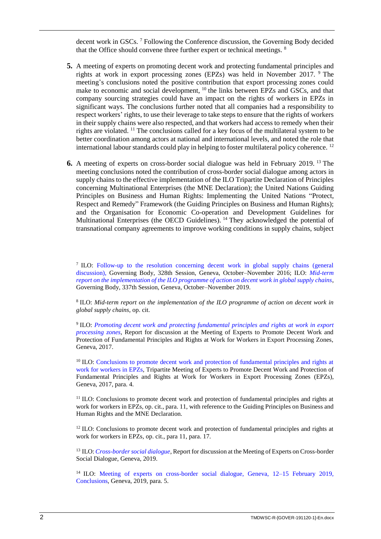decent work in GSCs. <sup>7</sup> Following the Conference discussion, the Governing Body decided that the Office should convene three further expert or technical meetings. <sup>8</sup>

- **5.** A meeting of experts on promoting decent work and protecting fundamental principles and rights at work in export processing zones (EPZs) was held in November 2017. <sup>9</sup> The meeting's conclusions noted the positive contribution that export processing zones could make to economic and social development, <sup>10</sup> the links between EPZs and GSCs, and that company sourcing strategies could have an impact on the rights of workers in EPZs in significant ways. The conclusions further noted that all companies had a responsibility to respect workers' rights, to use their leverage to take steps to ensure that the rights of workers in their supply chains were also respected, and that workers had access to remedy when their rights are violated. <sup>11</sup> The conclusions called for a key focus of the multilateral system to be better coordination among actors at national and international levels, and noted the role that international labour standards could play in helping to foster multilateral policy coherence. <sup>12</sup>
- **6.** A meeting of experts on cross-border social dialogue was held in February 2019. <sup>13</sup> The meeting conclusions noted the contribution of cross-border social dialogue among actors in supply chains to the effective implementation of the ILO Tripartite Declaration of Principles concerning Multinational Enterprises (the MNE Declaration); the United Nations Guiding Principles on Business and Human Rights: Implementing the United Nations "Protect, Respect and Remedy" Framework (the Guiding Principles on Business and Human Rights); and the Organisation for Economic Co-operation and Development Guidelines for Multinational Enterprises (the OECD Guidelines). <sup>14</sup> They acknowledged the potential of transnational company agreements to improve working conditions in supply chains, subject

<sup>7</sup> ILO: Follow-up to the resolution concerning decent work in global supply chains (general [discussion\),](https://www.ilo.org/wcmsp5/groups/public/---ed_norm/---relconf/documents/meetingdocument/wcms_534416.pdf) Governing Body, 328th Session, Geneva, October–November 2016; ILO: *[Mid-term](https://www.ilo.org/wcmsp5/groups/public/---ed_norm/---relconf/documents/meetingdocument/wcms_722485.pdf)  [report on the implementation of the ILO programme of action on decent work in global supply chains](https://www.ilo.org/wcmsp5/groups/public/---ed_norm/---relconf/documents/meetingdocument/wcms_722485.pdf)*, Governing Body, 337th Session, Geneva, October–November 2019.

8 ILO: *Mid-term report on the implementation of the ILO programme of action on decent work in global supply chains*, op. cit.

9 ILO: *[Promoting decent work and protecting fundamental principles and rights at work in export](https://www.ilo.org/wcmsp5/groups/public/---ed_emp/---emp_ent/---ifp_seed/documents/publication/wcms_584474.pdf)  [processing zones](https://www.ilo.org/wcmsp5/groups/public/---ed_emp/---emp_ent/---ifp_seed/documents/publication/wcms_584474.pdf)*, Report for discussion at the Meeting of Experts to Promote Decent Work and Protection of Fundamental Principles and Rights at Work for Workers in Export Processing Zones, Geneva, 2017.

<sup>10</sup> ILO: Conclusions to promote decent work and protection of fundamental principles and rights at [work for workers in EPZs](https://www.ilo.org/wcmsp5/groups/public/---ed_emp/---emp_ent/---ifp_seed/documents/publication/wcms_605081.pdf)*,* Tripartite Meeting of Experts to Promote Decent Work and Protection of Fundamental Principles and Rights at Work for Workers in Export Processing Zones (EPZs), Geneva, 2017, para. 4.

<sup>11</sup> ILO: Conclusions to promote decent work and protection of fundamental principles and rights at [work for workers in EPZs](https://www.ilo.org/wcmsp5/groups/public/---ed_emp/---emp_ent/---ifp_seed/documents/publication/wcms_605081.pdf)*,* op. cit., para. 11, with reference to the Guiding Principles on Business and Human Rights and the MNE Declaration.

<sup>12</sup> ILO: Conclusions to promote decent work and protection of fundamental principles and rights at work for workers in EPZs*,* op. cit., para 11, para. 17.

<sup>13</sup> ILO: *[Cross-border social dialogue](https://www.ilo.org/wcmsp5/groups/public/---ed_dialogue/---dialogue/documents/meetingdocument/wcms_663780.pdf)*, Report for discussion at the Meeting of Experts on Cross-border Social Dialogue, Geneva, 2019.

<sup>14</sup> ILO: Meeting of experts on cross-border social dialogue, Geneva, 12–15 February 2019, [Conclusions,](https://www.ilo.org/wcmsp5/groups/public/---ed_dialogue/---dialogue/documents/meetingdocument/wcms_700599.pdf) Geneva, 2019, para. 5.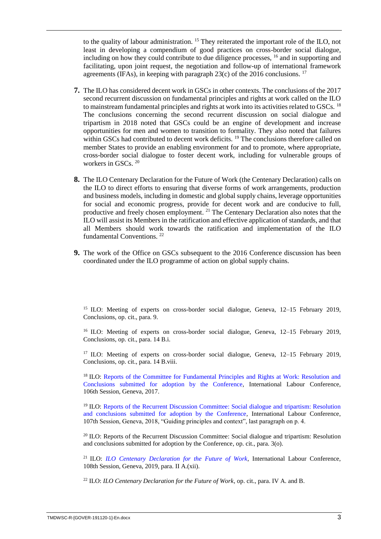to the quality of labour administration. <sup>15</sup> They reiterated the important role of the ILO, not least in developing a compendium of good practices on cross-border social dialogue, including on how they could contribute to due diligence processes, <sup>16</sup> and in supporting and facilitating, upon joint request, the negotiation and follow-up of international framework agreements (IFAs), in keeping with paragraph 23(c) of the 2016 conclusions. <sup>17</sup>

- **7.** The ILO has considered decent work in GSCs in other contexts. The conclusions of the 2017 second recurrent discussion on fundamental principles and rights at work called on the ILO to mainstream fundamental principles and rights at work into its activities related to GSCs. <sup>18</sup> The conclusions concerning the second recurrent discussion on social dialogue and tripartism in 2018 noted that GSCs could be an engine of development and increase opportunities for men and women to transition to formality. They also noted that failures within GSCs had contributed to decent work deficits.<sup>19</sup> The conclusions therefore called on member States to provide an enabling environment for and to promote, where appropriate, cross-border social dialogue to foster decent work, including for vulnerable groups of workers in GSCs. <sup>20</sup>
- **8.** The ILO Centenary Declaration for the Future of Work (the Centenary Declaration) calls on the ILO to direct efforts to ensuring that diverse forms of work arrangements, production and business models, including in domestic and global supply chains, leverage opportunities for social and economic progress, provide for decent work and are conducive to full, productive and freely chosen employment. <sup>21</sup> The Centenary Declaration also notes that the ILO will assist its Members in the ratification and effective application of standards, and that all Members should work towards the ratification and implementation of the ILO fundamental Conventions. <sup>22</sup>
- **9.** The work of the Office on GSCs subsequent to the 2016 Conference discussion has been coordinated under the ILO programme of action on global supply chains.

<sup>15</sup> ILO: Meeting of experts on cross-border social dialogue, Geneva, 12-15 February 2019, Conclusions, op. cit., para. 9.

<sup>16</sup> ILO: Meeting of experts on cross-border social dialogue, Geneva, 12–15 February 2019, Conclusions, op. cit., para. 14 B.i.

<sup>17</sup> ILO: Meeting of experts on cross-border social dialogue, Geneva,  $12-15$  February 2019, Conclusions, op. cit., para. 14 B.viii.

<sup>18</sup> ILO: Reports of the Committee for Fundamental Principles and Rights at Work: Resolution and [Conclusions submitted for adoption by the Conference,](https://www.ilo.org/wcmsp5/groups/public/---ed_norm/---relconf/documents/meetingdocument/wcms_558366.pdf) International Labour Conference, 106th Session, Geneva, 2017.

<sup>19</sup> ILO: [Reports of the Recurrent Discussion Committee: Social dialogue and tripartism: Resolution](https://www.ilo.org/wcmsp5/groups/public/---ed_norm/---relconf/documents/meetingdocument/wcms_631652.pdf)  [and conclusions submitted for adoption by the Conference](https://www.ilo.org/wcmsp5/groups/public/---ed_norm/---relconf/documents/meetingdocument/wcms_631652.pdf)*,* International Labour Conference, 107th Session, Geneva, 2018, "Guiding principles and context", last paragraph on p. 4.

<sup>20</sup> ILO: [Reports of the Recurrent Discussion Committee: Social dialogue and tripartism: Resolution](https://www.ilo.org/wcmsp5/groups/public/---ed_norm/---relconf/documents/meetingdocument/wcms_631652.pdf)  [and conclusions submitted for adoption by the Conference,](https://www.ilo.org/wcmsp5/groups/public/---ed_norm/---relconf/documents/meetingdocument/wcms_631652.pdf) op. cit., para. 3(o).

<sup>21</sup> ILO: *ILO Centenary Declaration for the Future of Work*, International Labour Conference, 108th Session, Geneva, 2019, para. II A.(xii).

<sup>22</sup> ILO: *ILO Centenary Declaration for the Future of Work*, op. cit., para. IV A. and B.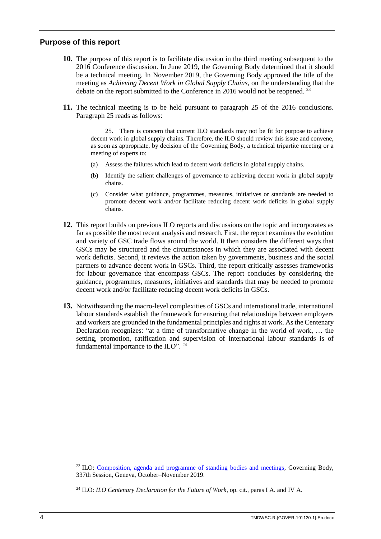#### <span id="page-7-0"></span>**Purpose of this report**

- **10.** The purpose of this report is to facilitate discussion in the third meeting subsequent to the 2016 Conference discussion. In June 2019, the Governing Body determined that it should be a technical meeting. In November 2019, the Governing Body approved the title of the meeting as *Achieving Decent Work in Global Supply Chains*, on the understanding that the debate on the report submitted to the Conference in 2016 would not be reopened.  $^{23}$
- **11.** The technical meeting is to be held pursuant to paragraph 25 of the 2016 conclusions. Paragraph 25 reads as follows:

25. There is concern that current ILO standards may not be fit for purpose to achieve decent work in global supply chains. Therefore, the ILO should review this issue and convene, as soon as appropriate, by decision of the Governing Body, a technical tripartite meeting or a meeting of experts to:

- (a) Assess the failures which lead to decent work deficits in global supply chains.
- (b) Identify the salient challenges of governance to achieving decent work in global supply chains.
- (c) Consider what guidance, programmes, measures, initiatives or standards are needed to promote decent work and/or facilitate reducing decent work deficits in global supply chains.
- **12.** This report builds on previous ILO reports and discussions on the topic and incorporates as far as possible the most recent analysis and research. First, the report examines the evolution and variety of GSC trade flows around the world. It then considers the different ways that GSCs may be structured and the circumstances in which they are associated with decent work deficits. Second, it reviews the action taken by governments, business and the social partners to advance decent work in GSCs. Third, the report critically assesses frameworks for labour governance that encompass GSCs. The report concludes by considering the guidance, programmes, measures, initiatives and standards that may be needed to promote decent work and/or facilitate reducing decent work deficits in GSCs.
- **13.** Notwithstanding the macro-level complexities of GSCs and international trade, international labour standards establish the framework for ensuring that relationships between employers and workers are grounded in the fundamental principles and rights at work. As the Centenary Declaration recognizes: "at a time of transformative change in the world of work, … the setting, promotion, ratification and supervision of international labour standards is of fundamental importance to the ILO".  $24$

<sup>23</sup> ILO: [Composition, agenda and programme of standing bodies and meetings,](https://www.ilo.org/wcmsp5/groups/public/---ed_norm/---relconf/documents/meetingdocument/wcms_725410.pdf) Governing Body, 337th Session, Geneva, October–November 2019.

<sup>24</sup> ILO: *ILO Centenary Declaration for the Future of Work*, op. cit., paras I A. and IV A.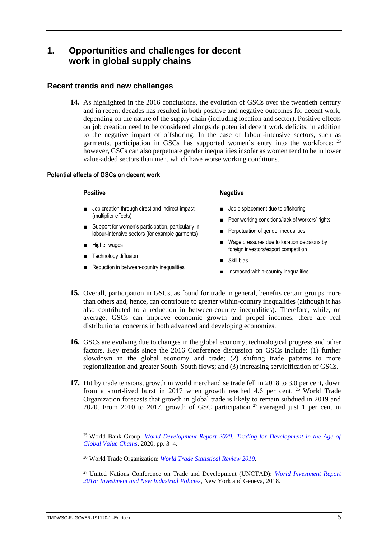# <span id="page-8-0"></span>**1. Opportunities and challenges for decent work in global supply chains**

# <span id="page-8-1"></span>**Recent trends and new challenges**

**14.** As highlighted in the 2016 conclusions, the evolution of GSCs over the twentieth century and in recent decades has resulted in both positive and negative outcomes for decent work, depending on the nature of the supply chain (including location and sector). Positive effects on job creation need to be considered alongside potential decent work deficits, in addition to the negative impact of offshoring. In the case of labour-intensive sectors, such as garments, participation in GSCs has supported women's entry into the workforce;  $25$ however, GSCs can also perpetuate gender inequalities insofar as women tend to be in lower value-added sectors than men, which have worse working conditions.

#### **Potential effects of GSCs on decent work**

| <b>Positive</b>                                                                                       | <b>Negative</b>                                                                                                                              |  |
|-------------------------------------------------------------------------------------------------------|----------------------------------------------------------------------------------------------------------------------------------------------|--|
| Job creation through direct and indirect impact<br>(multiplier effects)                               | Job displacement due to offshoring<br>Poor working conditions/lack of workers' rights                                                        |  |
| Support for women's participation, particularly in<br>labour-intensive sectors (for example garments) | Perpetuation of gender inequalities<br>Wage pressures due to location decisions by<br>$\blacksquare$<br>foreign investors/export competition |  |
| Higher wages                                                                                          |                                                                                                                                              |  |
| Technology diffusion                                                                                  | Skill bias                                                                                                                                   |  |
| Reduction in between-country inequalities                                                             | Increased within-country inequalities                                                                                                        |  |

- **15.** Overall, participation in GSCs, as found for trade in general, benefits certain groups more than others and, hence, can contribute to greater within-country inequalities (although it has also contributed to a reduction in between-country inequalities). Therefore, while, on average, GSCs can improve economic growth and propel incomes, there are real distributional concerns in both advanced and developing economies.
- **16.** GSCs are evolving due to changes in the global economy, technological progress and other factors. Key trends since the 2016 Conference discussion on GSCs include: (1) further slowdown in the global economy and trade; (2) shifting trade patterns to more regionalization and greater South–South flows; and (3) increasing servicification of GSCs.
- **17.** Hit by trade tensions, growth in world merchandise trade fell in 2018 to 3.0 per cent, down from a short-lived burst in 2017 when growth reached 4.6 per cent.  $26$  World Trade Organization forecasts that growth in global trade is likely to remain subdued in 2019 and 2020. From 2010 to 2017, growth of GSC participation <sup>27</sup> averaged just 1 per cent in

<sup>25</sup> World Bank Group: *[World Development Report 2020: Trading for Development in the Age of](https://www.worldbank.org/en/publication/wdr2020)  [Global Value Chains](https://www.worldbank.org/en/publication/wdr2020)*, 2020, pp. 3–4.

<sup>26</sup> World Trade Organization: *[World Trade Statistical Review 2019.](https://www.wto.org/english/res_e/statis_e/wts2019_e/wts2019_e.pdf)*

<sup>27</sup> United Nations Conference on Trade and Development (UNCTAD): *[World Investment Report](https://unctad.org/en/PublicationsLibrary/wir2018_en.pdf)  [2018: Investment and New Industrial Policies](https://unctad.org/en/PublicationsLibrary/wir2018_en.pdf)*, New York and Geneva, 2018.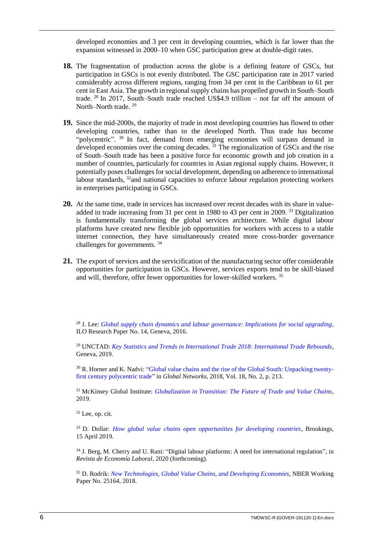developed economies and 3 per cent in developing countries, which is far lower than the expansion witnessed in 2000–10 when GSC participation grew at double-digit rates.

- **18.** The fragmentation of production across the globe is a defining feature of GSCs, but participation in GSCs is not evenly distributed. The GSC participation rate in 2017 varied considerably across different regions, ranging from 34 per cent in the Caribbean to 61 per cent in East Asia. The growth in regional supply chains has propelled growth in South–South trade. <sup>28</sup> In 2017, South–South trade reached US\$4.9 trillion – not far off the amount of North–North trade. <sup>29</sup>
- **19.** Since the mid-2000s, the majority of trade in most developing countries has flowed to other developing countries, rather than to the developed North. Thus trade has become "polycentric". <sup>30</sup> In fact, demand from emerging economies will surpass demand in developed economies over the coming decades. <sup>31</sup> The regionalization of GSCs and the rise of South–South trade has been a positive force for economic growth and job creation in a number of countries, particularly for countries in Asian regional supply chains. However, it potentially poses challenges for social development, depending on adherence to international labour standards,  $32$  and national capacities to enforce labour regulation protecting workers in enterprises participating in GSCs.
- **20.** At the same time, trade in services has increased over recent decades with its share in valueadded in trade increasing from 31 per cent in 1980 to 43 per cent in 2009.<sup>33</sup> Digitalization is fundamentally transforming the global services architecture. While digital labour platforms have created new flexible job opportunities for workers with access to a stable internet connection, they have simultaneously created more cross-border governance challenges for governments. <sup>34</sup>
- 21. The export of services and the servicification of the manufacturing sector offer considerable opportunities for participation in GSCs. However, services exports tend to be skill-biased and will, therefore, offer fewer opportunities for lower-skilled workers. <sup>35</sup>

<sup>28</sup> J. Lee: *[Global supply chain dynamics and labour governance: Implications for social upgrading](https://www.ilo.org/wcmsp5/groups/public/---dgreports/---inst/documents/publication/wcms_480957.pdf)*, ILO Research Paper No. 14, Geneva, 2016.

<sup>29</sup> UNCTAD: *[Key Statistics and Trends in International Trade 2018: International Trade Rebounds,](https://unctad.org/en/pages/PublicationWebflyer.aspx?publicationid=2446)*  Geneva, 2019.

<sup>30</sup> R. Horner and K. Nadvi: ["Global value chains and the rise of the Global South: Unpacking twenty](https://onlinelibrary.wiley.com/doi/full/10.1111/glob.12180)[first century polycentric trade"](https://onlinelibrary.wiley.com/doi/full/10.1111/glob.12180) in *Global Networks*, 2018, Vol. 18, No. 2, p. 213.

<sup>31</sup> McKinsey Global Institute: *[Globalization in Transition: The Future of Trade and Value Chains](https://www.mckinsey.com/~/media/McKinsey/Featured%20Insights/Innovation/Globalization%20in%20transition%20The%20future%20of%20trade%20and%20value%20chains/MGI-Globalization%20in%20transition-The-future-of-trade-and-value-chains-Full-report.ashx)*, 2019.

 $32$  Lee, op. cit.

<sup>33</sup> D. Dollar: *[How global value chains open opportunities for developing countries](https://www.brookings.edu/blog/order-from-chaos/2019/04/15/how-global-value-chains-open-opportunities-for-developing-countries/)*, Brookings, 15 April 2019.

<sup>34</sup> J. Berg, M. Cherry and U. Rani: "Digital labour platforms: A need for international regulation", in *Revista de Economía Laboral*, 2020 (forthcoming).

<sup>35</sup> D. Rodrik: *[New Technologies, Global Value Chains, and Developing Economies](https://www.nber.org/papers/w25164.pdf)*, NBER Working Paper No. 25164, 2018.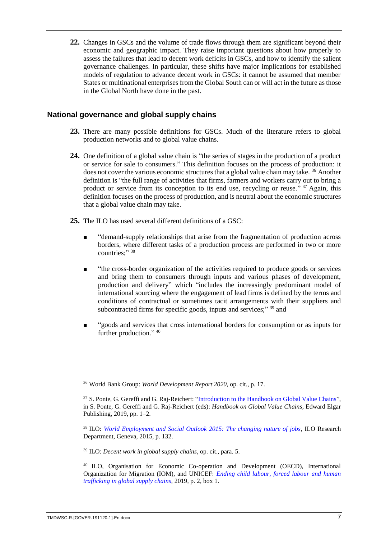**22.** Changes in GSCs and the volume of trade flows through them are significant beyond their economic and geographic impact. They raise important questions about how properly to assess the failures that lead to decent work deficits in GSCs, and how to identify the salient governance challenges. In particular, these shifts have major implications for established models of regulation to advance decent work in GSCs: it cannot be assumed that member States or multinational enterprises from the Global South can or will act in the future as those in the Global North have done in the past.

# <span id="page-10-0"></span>**National governance and global supply chains**

- **23.** There are many possible definitions for GSCs. Much of the literature refers to global production networks and to global value chains.
- **24.** One definition of a global value chain is "the series of stages in the production of a product or service for sale to consumers." This definition focuses on the process of production: it does not cover the various economic structures that a global value chain may take. <sup>36</sup> Another definition is "the full range of activities that firms, farmers and workers carry out to bring a product or service from its conception to its end use, recycling or reuse."<sup>37</sup> Again, this definition focuses on the process of production, and is neutral about the economic structures that a global value chain may take.
- **25.** The ILO has used several different definitions of a GSC:
	- "demand-supply relationships that arise from the fragmentation of production across borders, where different tasks of a production process are performed in two or more countries;" 38
	- "the cross-border organization of the activities required to produce goods or services and bring them to consumers through inputs and various phases of development, production and delivery" which "includes the increasingly predominant model of international sourcing where the engagement of lead firms is defined by the terms and conditions of contractual or sometimes tacit arrangements with their suppliers and subcontracted firms for specific goods, inputs and services;" 39 and
	- "goods and services that cross international borders for consumption or as inputs for further production." 40

<sup>36</sup> World Bank Group: *World Development Report 2020*, op. cit., p. 17.

<sup>37</sup> S. Ponte. G. Gereffi and G. Raj-Reichert: ["Introduction to the Handbook on Global Value Chains"](https://www.e-elgar.com/shop/eep/preview/book/isbn/9781788113779/), in S. Ponte, G. Gereffi and G. Raj-Reichert (eds): *Handbook on Global Value Chains*, Edward Elgar Publishing, 2019, pp. 1–2.

<sup>38</sup> ILO: *[World Employment and Social Outlook 2015: The changing nature of jobs](https://www.ilo.org/wcmsp5/groups/public/---dgreports/---dcomm/---publ/documents/publication/wcms_368626.pdf)*, ILO Research Department, Geneva, 2015, p. 132.

<sup>39</sup> ILO: *Decent work in global supply chains*, op. cit., para. 5.

<sup>40</sup> ILO, Organisation for Economic Co-operation and Development (OECD), International Organization for Migration (IOM), and UNICEF: *[Ending child labour, forced labour and human](http://www.oecd.org/fr/corruption/ending-child-labour-forced-labour-and-human-trafficking-in-global-supply-chains.htm)  [trafficking in global supply chains](http://www.oecd.org/fr/corruption/ending-child-labour-forced-labour-and-human-trafficking-in-global-supply-chains.htm)*, 2019, p. 2, box 1.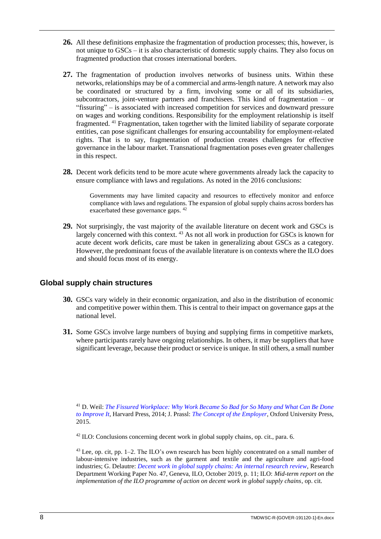- **26.** All these definitions emphasize the fragmentation of production processes; this, however, is not unique to GSCs – it is also characteristic of domestic supply chains. They also focus on fragmented production that crosses international borders.
- **27.** The fragmentation of production involves networks of business units. Within these networks, relationships may be of a commercial and arms-length nature. A network may also be coordinated or structured by a firm, involving some or all of its subsidiaries, subcontractors, joint-venture partners and franchisees. This kind of fragmentation – or "fissuring" – is associated with increased competition for services and downward pressure on wages and working conditions. Responsibility for the employment relationship is itself fragmented. <sup>41</sup> Fragmentation, taken together with the limited liability of separate corporate entities, can pose significant challenges for ensuring accountability for employment-related rights. That is to say, fragmentation of production creates challenges for effective governance in the labour market. Transnational fragmentation poses even greater challenges in this respect.
- **28.** Decent work deficits tend to be more acute where governments already lack the capacity to ensure compliance with laws and regulations. As noted in the 2016 conclusions:

Governments may have limited capacity and resources to effectively monitor and enforce compliance with laws and regulations. The expansion of global supply chains across borders has exacerbated these governance gaps. <sup>42</sup>

**29.** Not surprisingly, the vast majority of the available literature on decent work and GSCs is largely concerned with this context. <sup>43</sup> As not all work in production for GSCs is known for acute decent work deficits, care must be taken in generalizing about GSCs as a category. However, the predominant focus of the available literature is on contexts where the ILO does and should focus most of its energy.

# <span id="page-11-0"></span>**Global supply chain structures**

- **30.** GSCs vary widely in their economic organization, and also in the distribution of economic and competitive power within them. This is central to their impact on governance gaps at the national level.
- **31.** Some GSCs involve large numbers of buying and supplying firms in competitive markets, where participants rarely have ongoing relationships. In others, it may be suppliers that have significant leverage, because their product or service is unique. In still others, a small number

 $42$  ILO: Conclusions concerning decent work in global supply chains, op. cit., para. 6.

<sup>43</sup> Lee, op. cit*,* pp. 1–2. The ILO's own research has been highly concentrated on a small number of labour-intensive industries, such as the garment and textile and the agriculture and agri-food industries; G. Delautre: *[Decent work in global supply chains: An internal research review,](https://www.ilo.org/wcmsp5/groups/public/---dgreports/---inst/documents/publication/wcms_723274.pdf)* Research Department Working Paper No. 47, Geneva, ILO, October 2019, p. 11; ILO: *Mid-term report on the implementation of the ILO programme of action on decent work in global supply chains*, op. cit.

<sup>41</sup> D. Weil: *[The Fissured Workplace: Why Work Became So Bad for So Many and What Can Be Done](https://www.hup.harvard.edu/catalog.php?isbn=9780674975446&content=reviews)  [to Improve It](https://www.hup.harvard.edu/catalog.php?isbn=9780674975446&content=reviews)*, Harvard Press, 2014; J. Prassl: *[The Concept of the Employer,](https://global.oup.com/academic/product/the-concept-of-the-employer-9780198796145?cc=ch&lang=en&)* Oxford University Press, 2015.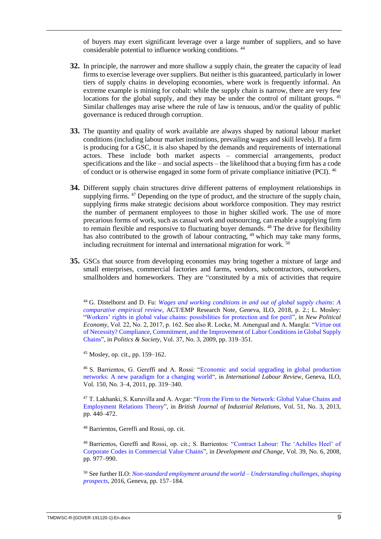of buyers may exert significant leverage over a large number of suppliers, and so have considerable potential to influence working conditions. <sup>44</sup>

- **32.** In principle, the narrower and more shallow a supply chain, the greater the capacity of lead firms to exercise leverage over suppliers. But neither is this guaranteed, particularly in lower tiers of supply chains in developing economies, where work is frequently informal. An extreme example is mining for cobalt: while the supply chain is narrow, there are very few locations for the global supply, and they may be under the control of militant groups. <sup>45</sup> Similar challenges may arise where the rule of law is tenuous, and/or the quality of public governance is reduced through corruption.
- **33.** The quantity and quality of work available are always shaped by national labour market conditions (including labour market institutions, prevailing wages and skill levels). If a firm is producing for a GSC, it is also shaped by the demands and requirements of international actors. These include both market aspects – commercial arrangements, product specifications and the like – and social aspects – the likelihood that a buying firm has a code of conduct or is otherwise engaged in some form of private compliance initiative (PCI). <sup>46</sup>
- **34.** Different supply chain structures drive different patterns of employment relationships in supplying firms. <sup>47</sup> Depending on the type of product, and the structure of the supply chain, supplying firms make strategic decisions about workforce composition. They may restrict the number of permanent employees to those in higher skilled work. The use of more precarious forms of work, such as casual work and outsourcing, can enable a supplying firm to remain flexible and responsive to fluctuating buyer demands. <sup>48</sup> The drive for flexibility has also contributed to the growth of labour contracting, <sup>49</sup> which may take many forms, including recruitment for internal and international migration for work.<sup>50</sup>
- **35.** GSCs that source from developing economies may bring together a mixture of large and small enterprises, commercial factories and farms, vendors, subcontractors, outworkers, smallholders and homeworkers. They are "constituted by a mix of activities that require

<sup>44</sup> G. Distelhorst and D. Fu: *[Wages and working conditions in and out of global supply chains: A](https://www.ilo.org/wcmsp5/groups/public/---ed_dialogue/---act_emp/documents/publication/wcms_619715.pdf)  [comparative empirical review](https://www.ilo.org/wcmsp5/groups/public/---ed_dialogue/---act_emp/documents/publication/wcms_619715.pdf)*, ACT/EMP Research Note, Geneva, ILO, 2018, p. 2.; L. Mosley: ["Workers' rights in global value chains: possibilities for protection and for peril"](https://www.researchgate.net/publication/312075630_Workers), in *New Political Economy*, Vol. 22, No. 2, 2017, p. 162. See also R. Locke, M. Amengual and A. Mangla: ["Virtue out](https://journals.sagepub.com/doi/abs/10.1177/0032329209338922)  [of Necessity? Compliance, Commitment, and the Improvement of Labor Conditions in Global Supply](https://journals.sagepub.com/doi/abs/10.1177/0032329209338922)  [Chains"](https://journals.sagepub.com/doi/abs/10.1177/0032329209338922), in *Politics & Society*, Vol. 37, No. 3, 2009, pp. 319–351.

 $45$  Mosley, op. cit., pp. 159–162.

<sup>46</sup> S. Barrientos, G. Gereffi and A. Rossi: ["Economic and social upgrading in global production](https://onlinelibrary.wiley.com/doi/abs/10.1111/j.1564-913X.2011.00119.x)  [networks: A new paradigm for a changing world"](https://onlinelibrary.wiley.com/doi/abs/10.1111/j.1564-913X.2011.00119.x), in *International Labour Review*, Geneva, ILO, Vol. 150, No. 3–4, 2011, pp. 319–340.

<sup>47</sup> T. Lakhanki, S. Kuruvilla and A. Avgar: ["From the Firm to the Network: Global Value Chains and](https://onlinelibrary.wiley.com/doi/epdf/10.1111/bjir.12015)  [Employment Relations Theory"](https://onlinelibrary.wiley.com/doi/epdf/10.1111/bjir.12015), in *British Journal of Industrial Relations,* Vol. 51, No. 3, 2013, pp. 440–472.

<sup>48</sup> Barrientos, Gereffi and Rossi, op. cit.

<sup>49</sup> Barrientos, Gereffi and Rossi, op. cit.; S. Barrientos: ["Contract Labour: The 'Achilles Heel' of](https://onlinelibrary.wiley.com/doi/epdf/10.1111/j.1467-7660.2008.00524.x)  [Corporate Codes in Commercial Value Chains"](https://onlinelibrary.wiley.com/doi/epdf/10.1111/j.1467-7660.2008.00524.x), in *Development and Change,* Vol. 39, No. 6, 2008, pp. 977–990.

<sup>50</sup> See further ILO: *[Non-standard employment around the world –](https://www.ilo.org/wcmsp5/groups/public/---dgreports/---dcomm/---publ/documents/publication/wcms_534326.pdf) Understanding challenges, shaping [prospects,](https://www.ilo.org/wcmsp5/groups/public/---dgreports/---dcomm/---publ/documents/publication/wcms_534326.pdf)* 2016, Geneva, pp. 157–184.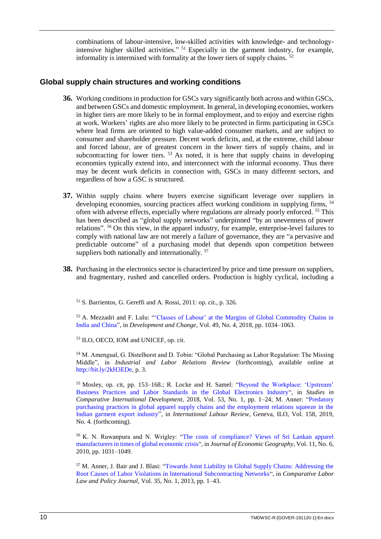combinations of labour-intensive, low-skilled activities with knowledge- and technologyintensive higher skilled activities." <sup>51</sup> Especially in the garment industry, for example, informality is intermixed with formality at the lower tiers of supply chains.

# <span id="page-13-0"></span>**Global supply chain structures and working conditions**

- **36.** Working conditions in production for GSCs vary significantly both across and within GSCs, and between GSCs and domestic employment. In general, in developing economies, workers in higher tiers are more likely to be in formal employment, and to enjoy and exercise rights at work. Workers' rights are also more likely to be protected in firms participating in GSCs where lead firms are oriented to high value-added consumer markets, and are subject to consumer and shareholder pressure. Decent work deficits, and, at the extreme, child labour and forced labour, are of greatest concern in the lower tiers of supply chains, and in subcontracting for lower tiers. <sup>53</sup> As noted, it is here that supply chains in developing economies typically extend into, and interconnect with the informal economy. Thus there may be decent work deficits in connection with, GSCs in many different sectors, and regardless of how a GSC is structured.
- **37.** Within supply chains where buyers exercise significant leverage over suppliers in developing economies, sourcing practices affect working conditions in supplying firms, <sup>54</sup> often with adverse effects, especially where regulations are already poorly enforced. <sup>55</sup> This has been described as "global supply networks" underpinned "by an unevenness of power relations". <sup>56</sup> On this view, in the apparel industry, for example, enterprise-level failures to comply with national law are not merely a failure of governance, they are "a pervasive and predictable outcome" of a purchasing model that depends upon competition between suppliers both nationally and internationally.<sup>57</sup>
- **38.** Purchasing in the electronics sector is characterized by price and time pressure on suppliers, and fragmentary, rushed and cancelled orders. Production is highly cyclical, including a

<sup>51</sup> S. Barrientos, G. Gereffi and A. Rossi, 2011: op. cit., p. 326.

<sup>52</sup> A. Mezzadri and F. Lulu: ["'Classes of Labour' at the Margins of Global Commodity Chains in](https://onlinelibrary.wiley.com/doi/epdf/10.1111/dech.12412)  [India and China"](https://onlinelibrary.wiley.com/doi/epdf/10.1111/dech.12412), in *Development and Change*, Vol. 49, No. 4, 2018, pp. 1034–1063.

<sup>53</sup> ILO, OECD, IOM and UNICEF, op. cit.

<sup>54</sup> M. Amengual, G. Distelhorst and D. Tobin: "Global Purchasing as Labor Regulation: The Missing Middle", in *Industrial and Labor Relations Review* (forthcoming), available online at [http://bit.ly/2kH3EDe,](http://bit.ly/2kH3EDe) p. 3.

<sup>55</sup> Mosley, op. cit, pp. 153–168.; R. Locke and H. Samel: ["Beyond the Workplace: 'Upstream'](http://eureka.sbs.ox.ac.uk/6779/)  [Business Practices and Labor Standards in the Global Electronics Industry"](http://eureka.sbs.ox.ac.uk/6779/), in *Studies in Comparative International Development,* 2018, Vol. 53, No. 1, pp. 1–24; M. Anner: ["Predatory](https://onlinelibrary.wiley.com/doi/epdf/10.1111/ilr.12149)  [purchasing practices in global apparel supply chains and the employment relations squeeze in the](https://onlinelibrary.wiley.com/doi/epdf/10.1111/ilr.12149)  [Indian garment export industry"](https://onlinelibrary.wiley.com/doi/epdf/10.1111/ilr.12149), in *International Labour Review*, Geneva, ILO, Vol. 158, 2019, No. 4*.* (forthcoming).

<sup>56</sup> K. N. Ruwanpura and N. Wrigley: ["The costs of compliance? Views of Sri Lankan apparel](https://academic.oup.com/joeg/article-abstract/11/6/1031/881927?redirectedFrom=fulltext)  [manufacturers in times of global economic crisis"](https://academic.oup.com/joeg/article-abstract/11/6/1031/881927?redirectedFrom=fulltext), in *Journal of Economic Geography,* Vol. 11, No. 6, 2010, pp. 1031–1049.

<sup>57</sup> M. Anner, J. Bair and J. Blasi: ["Towards Joint Liability in Global Supply Chains: Addressing the](https://www.researchgate.net/publication/262261037_Anner_Mark_Jennifer_Bair_and_Jeremy_Blasi_Towards_Joint_Liability_in_Global_Supply_Chains_Addressing_the_Root_Causes_of_Labor_Violations_in_International_Subcontracting_Networks_Comparative_Labor_Law_)  [Root Causes of Labor Violations in International Subcontracting Networks"](https://www.researchgate.net/publication/262261037_Anner_Mark_Jennifer_Bair_and_Jeremy_Blasi_Towards_Joint_Liability_in_Global_Supply_Chains_Addressing_the_Root_Causes_of_Labor_Violations_in_International_Subcontracting_Networks_Comparative_Labor_Law_), in *Comparative Labor Law and Policy Journal,* Vol. 35, No. 1, 2013, pp. 1–43.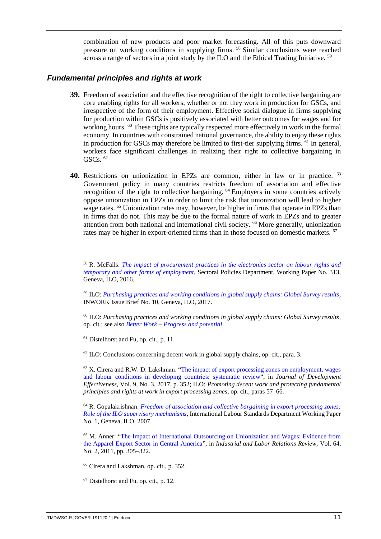combination of new products and poor market forecasting. All of this puts downward pressure on working conditions in supplying firms. <sup>58</sup> Similar conclusions were reached across a range of sectors in a joint study by the ILO and the Ethical Trading Initiative.  $59$ 

#### <span id="page-14-0"></span>*Fundamental principles and rights at work*

- **39.** Freedom of association and the effective recognition of the right to collective bargaining are core enabling rights for all workers, whether or not they work in production for GSCs, and irrespective of the form of their employment. Effective social dialogue in firms supplying for production within GSCs is positively associated with better outcomes for wages and for working hours. <sup>60</sup> These rights are typically respected more effectively in work in the formal economy. In countries with constrained national governance, the ability to enjoy these rights in production for GSCs may therefore be limited to first-tier supplying firms. <sup>61</sup> In general, workers face significant challenges in realizing their right to collective bargaining in GSCs.  $62$
- **40.** Restrictions on unionization in EPZs are common, either in law or in practice. <sup>63</sup> Government policy in many countries restricts freedom of association and effective recognition of the right to collective bargaining. <sup>64</sup> Employers in some countries actively oppose unionization in EPZs in order to limit the risk that unionization will lead to higher wage rates. <sup>65</sup> Unionization rates may, however, be higher in firms that operate in EPZs than in firms that do not. This may be due to the formal nature of work in EPZs and to greater attention from both national and international civil society. <sup>66</sup> More generally, unionization rates may be higher in export-oriented firms than in those focused on domestic markets. <sup>67</sup>

<sup>58</sup> R. McFalls: *[The impact of procurement practices in the electronics sector on labour rights and](https://www.ilo.org/wcmsp5/groups/public/---ed_dialogue/---sector/documents/publication/wcms_541524.pdf)  [temporary and other forms of employment,](https://www.ilo.org/wcmsp5/groups/public/---ed_dialogue/---sector/documents/publication/wcms_541524.pdf)* Sectoral Policies Department, Working Paper No. 313, Geneva, ILO, 2016.

<sup>59</sup> ILO: *[Purchasing practices and working conditions in global supply chains: Global Survey results,](https://16dayscampaign.org/wp-content/uploads/2019/02/wcms_556336.pdf)* INWORK Issue Brief No. 10, Geneva, ILO, 2017.

<sup>60</sup> ILO: *Purchasing practices and working conditions in global supply chains: Global Survey results,*  op. cit*.*; see also *Better Work* – *[Progress and potential](https://betterwork.org/blog/portfolio/impact-assessment/)*.

<sup>61</sup> Distelhorst and Fu, op. cit., p. 11.

 $62$  ILO: Conclusions concerning decent work in global supply chains, op. cit., para. 3.

<sup>63</sup> X. Cirera and R.W. D. Lakshman: ["The impact of export processing zones on employment, wages](https://www.ncbi.nlm.nih.gov/pmc/articles/PMC6183862/)  [and labour conditions in developing countries: systematic review"](https://www.ncbi.nlm.nih.gov/pmc/articles/PMC6183862/), in *Journal of Development Effectiveness*, Vol. 9, No. 3, 2017, p. 352; ILO: *Promoting decent work and protecting fundamental principles and rights at work in export processing zones*, op. cit., paras 57–66.

<sup>64</sup> R. Gopalakrishnan: *[Freedom of association and collective bargaining in export processing zones:](https://www.ilo.org/wcmsp5/groups/public/---ed_norm/---normes/documents/publication/wcms_087917.pdf)  [Role of the ILO supervisory mechanisms,](https://www.ilo.org/wcmsp5/groups/public/---ed_norm/---normes/documents/publication/wcms_087917.pdf)* International Labour Standards Department Working Paper No. 1, Geneva, ILO, 2007.

<sup>65</sup> M. Anner: ["The Impact of International Outsourcing on Unionization and Wages: Evidence from](https://journals.sagepub.com/doi/pdf/10.1177/001979391106400205)  [the Apparel Export Sector in Central America"](https://journals.sagepub.com/doi/pdf/10.1177/001979391106400205), in *Industrial and Labor Relations Review*, Vol. 64, No. 2, 2011, pp. 305–322.

<sup>66</sup> Cirera and Lakshman, op. cit.*,* p. 352.

<sup>67</sup> Distelhorst and Fu, op. cit., p. 12.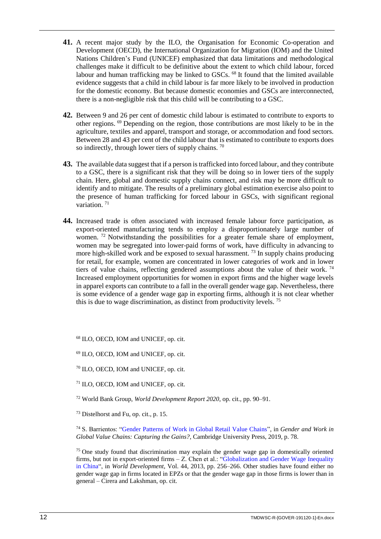- **41.** A recent major study by the ILO, the Organisation for Economic Co-operation and Development (OECD), the International Organization for Migration (IOM) and the United Nations Children's Fund (UNICEF) emphasized that data limitations and methodological challenges make it difficult to be definitive about the extent to which child labour, forced labour and human trafficking may be linked to GSCs. <sup>68</sup> It found that the limited available evidence suggests that a child in child labour is far more likely to be involved in production for the domestic economy. But because domestic economies and GSCs are interconnected, there is a non-negligible risk that this child will be contributing to a GSC.
- **42.** Between 9 and 26 per cent of domestic child labour is estimated to contribute to exports to other regions. <sup>69</sup> Depending on the region, those contributions are most likely to be in the agriculture, textiles and apparel, transport and storage, or accommodation and food sectors. Between 28 and 43 per cent of the child labour that is estimated to contribute to exports does so indirectly, through lower tiers of supply chains.  $\frac{70}{2}$
- **43.** The available data suggest that if a person is trafficked into forced labour, and they contribute to a GSC, there is a significant risk that they will be doing so in lower tiers of the supply chain. Here, global and domestic supply chains connect, and risk may be more difficult to identify and to mitigate. The results of a preliminary global estimation exercise also point to the presence of human trafficking for forced labour in GSCs, with significant regional variation.<sup>71</sup>
- **44.** Increased trade is often associated with increased female labour force participation, as export-oriented manufacturing tends to employ a disproportionately large number of women. <sup>72</sup> Notwithstanding the possibilities for a greater female share of employment, women may be segregated into lower-paid forms of work, have difficulty in advancing to more high-skilled work and be exposed to sexual harassment.<sup>73</sup> In supply chains producing for retail, for example, women are concentrated in lower categories of work and in lower tiers of value chains, reflecting gendered assumptions about the value of their work.<sup>74</sup> Increased employment opportunities for women in export firms and the higher wage levels in apparel exports can contribute to a fall in the overall gender wage gap. Nevertheless, there is some evidence of a gender wage gap in exporting firms, although it is not clear whether this is due to wage discrimination, as distinct from productivity levels. <sup>75</sup>

<sup>68</sup> ILO, OECD, IOM and UNICEF, op. cit.

<sup>69</sup> ILO, OECD, IOM and UNICEF, op. cit.

<sup>70</sup> ILO, OECD, IOM and UNICEF, op. cit.

<sup>71</sup> ILO, OECD, IOM and UNICEF, op. cit.

<sup>72</sup> World Bank Group, *World Development Report 2020*, op. cit., pp. 90–91.

<sup>73</sup> Distelhorst and Fu, op. cit., p. 15.

<sup>74</sup> S. Barrientos: ["Gender Patterns of Work in Global Retail Value Chains"](https://doi.org/10.1017/9781108679459.004), in *Gender and Work in Global Value Chains: Capturing the Gains?*, Cambridge University Press, 2019, p. 78.

 $75$  One study found that discrimination may explain the gender wage gap in domestically oriented firms, but not in export-oriented firms – Z. Chen et al.: ["Globalization and Gender Wage Inequality](https://www.sciencedirect.com/science/article/pii/S0305750X12002860)  [in China"](https://www.sciencedirect.com/science/article/pii/S0305750X12002860), in *World Development*, Vol. 44, 2013, pp. 256–266. Other studies have found either no gender wage gap in firms located in EPZs or that the gender wage gap in those firms is lower than in general – Cirera and Lakshman, op. cit.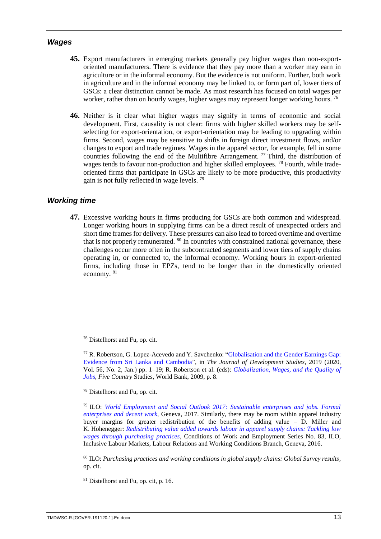#### <span id="page-16-0"></span>*Wages*

- **45.** Export manufacturers in emerging markets generally pay higher wages than non-exportoriented manufacturers. There is evidence that they pay more than a worker may earn in agriculture or in the informal economy. But the evidence is not uniform. Further, both work in agriculture and in the informal economy may be linked to, or form part of, lower tiers of GSCs: a clear distinction cannot be made. As most research has focused on total wages per worker, rather than on hourly wages, higher wages may represent longer working hours.<sup>76</sup>
- **46.** Neither is it clear what higher wages may signify in terms of economic and social development. First, causality is not clear: firms with higher skilled workers may be selfselecting for export-orientation, or export-orientation may be leading to upgrading within firms. Second, wages may be sensitive to shifts in foreign direct investment flows, and/or changes to export and trade regimes. Wages in the apparel sector, for example, fell in some countries following the end of the Multifibre Arrangement.  $\frac{77}{10}$  Third, the distribution of wages tends to favour non-production and higher skilled employees.<sup>78</sup> Fourth, while tradeoriented firms that participate in GSCs are likely to be more productive, this productivity gain is not fully reflected in wage levels. <sup>79</sup>

# <span id="page-16-1"></span>*Working time*

**47.** Excessive working hours in firms producing for GSCs are both common and widespread. Longer working hours in supplying firms can be a direct result of unexpected orders and short time frames for delivery. These pressures can also lead to forced overtime and overtime that is not properly remunerated. <sup>80</sup> In countries with constrained national governance, these challenges occur more often in the subcontracted segments and lower tiers of supply chains operating in, or connected to, the informal economy. Working hours in export-oriented firms, including those in EPZs, tend to be longer than in the domestically oriented economy. <sup>81</sup>

<sup>76</sup> Distelhorst and Fu, op. cit.

<sup>77</sup> R. Robertson, G. Lopez-Acevedo and Y. Savchenko: ["Globalisation and the Gender Earnings Gap:](https://www.tandfonline.com/doi/full/10.1080/00220388.2019.1573986)  [Evidence from Sri Lanka and Cambodia"](https://www.tandfonline.com/doi/full/10.1080/00220388.2019.1573986), in *The Journal of Development Studies,* 2019 (2020, Vol. 56, No. 2, Jan.) pp. 1–19; R. Robertson et al. (eds): *[Globalization, Wages, and the Quality of](http://documents.worldbank.org/curated/en/834311468248070370/pdf/499160PUB0Glob101Official0Use0only1.pdf)  [Jobs](http://documents.worldbank.org/curated/en/834311468248070370/pdf/499160PUB0Glob101Official0Use0only1.pdf)*, *Five Country* Studies, World Bank, 2009, p. 8.

<sup>78</sup> Distelhorst and Fu, op. cit.

<sup>79</sup> ILO: *[World Employment and Social Outlook 2017: Sustainable enterprises and jobs. Formal](https://www.ilo.org/wcmsp5/groups/public/---dgreports/---dcomm/---publ/documents/publication/wcms_579893.pdf)  [enterprises and decent work](https://www.ilo.org/wcmsp5/groups/public/---dgreports/---dcomm/---publ/documents/publication/wcms_579893.pdf)*, Geneva, 2017. Similarly, there may be room within apparel industry buyer margins for greater redistribution of the benefits of adding value – D. Miller and K. Hohenegger: *[Redistributing value added towards labour in apparel supply chains: Tackling low](https://www.ilo.org/wcmsp5/groups/public/---ed_protect/---protrav/---travail/documents/publication/wcms_534536.pdf)  [wages through purchasing practices](https://www.ilo.org/wcmsp5/groups/public/---ed_protect/---protrav/---travail/documents/publication/wcms_534536.pdf)*, Conditions of Work and Employment Series No. 83, ILO, Inclusive Labour Markets, Labour Relations and Working Conditions Branch, Geneva, 2016.

<sup>80</sup> ILO: *Purchasing practices and working conditions in global supply chains: Global Survey results,* op. cit.

<sup>81</sup> Distelhorst and Fu, op. cit, p. 16.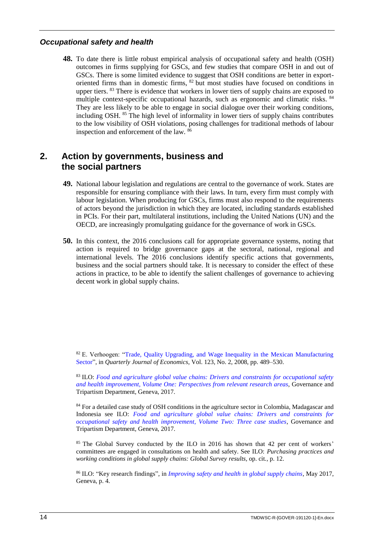# <span id="page-17-0"></span>*Occupational safety and health*

**48.** To date there is little robust empirical analysis of occupational safety and health (OSH) outcomes in firms supplying for GSCs, and few studies that compare OSH in and out of GSCs. There is some limited evidence to suggest that OSH conditions are better in exportoriented firms than in domestic firms, <sup>82</sup> but most studies have focused on conditions in upper tiers. <sup>83</sup> There is evidence that workers in lower tiers of supply chains are exposed to multiple context-specific occupational hazards, such as ergonomic and climatic risks. <sup>84</sup> They are less likely to be able to engage in social dialogue over their working conditions, including OSH. <sup>85</sup> The high level of informality in lower tiers of supply chains contributes to the low visibility of OSH violations, posing challenges for traditional methods of labour inspection and enforcement of the law. <sup>86</sup>

# <span id="page-17-1"></span>**2. Action by governments, business and the social partners**

- **49.** National labour legislation and regulations are central to the governance of work. States are responsible for ensuring compliance with their laws. In turn, every firm must comply with labour legislation. When producing for GSCs, firms must also respond to the requirements of actors beyond the jurisdiction in which they are located, including standards established in PCIs. For their part, multilateral institutions, including the United Nations (UN) and the OECD, are increasingly promulgating guidance for the governance of work in GSCs.
- **50.** In this context, the 2016 conclusions call for appropriate governance systems, noting that action is required to bridge governance gaps at the sectoral, national, regional and international levels. The 2016 conclusions identify specific actions that governments, business and the social partners should take. It is necessary to consider the effect of these actions in practice, to be able to identify the salient challenges of governance to achieving decent work in global supply chains.

<sup>82</sup> E. Verhoogen: ["Trade, Quality Upgrading, and Wage Inequality in the Mexican Manufacturing](https://econpapers.repec.org/article/oupqjecon/v_3a123_3ay_3a2008_3ai_3a2_3ap_3a489-530..htm)  [Sector"](https://econpapers.repec.org/article/oupqjecon/v_3a123_3ay_3a2008_3ai_3a2_3ap_3a489-530..htm), in *Quarterly Journal of Economics*, Vol. 123, No. 2, 2008, pp. 489–530.

<sup>83</sup> ILO: *[Food and agriculture global value chains: Drivers and constraints for occupational safety](https://www.ilo.org/wcmsp5/groups/public/---ed_dialogue/---lab_admin/documents/publication/wcms_593280.pdf)  [and health improvement, Volume One: Perspectives](https://www.ilo.org/wcmsp5/groups/public/---ed_dialogue/---lab_admin/documents/publication/wcms_593280.pdf) from relevant research areas*, Governance and Tripartism Department, Geneva, 2017.

<sup>84</sup> For a detailed case study of OSH conditions in the agriculture sector in Colombia, Madagascar and Indonesia see ILO: *[Food and agriculture global value chains: Drivers and constraints for](https://www.ilo.org/wcmsp5/groups/public/---ed_dialogue/---lab_admin/documents/publication/wcms_593288.pdf)  [occupational safety and health improvement, Volume Two: Three case studies](https://www.ilo.org/wcmsp5/groups/public/---ed_dialogue/---lab_admin/documents/publication/wcms_593288.pdf)*, Governance and Tripartism Department, Geneva, 2017.

<sup>85</sup> The Global Survey conducted by the ILO in 2016 has shown that 42 per cent of workers' committees are engaged in consultations on health and safety. See ILO: *Purchasing practices and working conditions in global supply chains: Global Survey results,* op. cit*.,* p. 12.

<sup>86</sup> ILO: "Key research findings", in *[Improving safety and health in global supply chains,](https://www.ilo.org/wcmsp5/groups/public/---ed_dialogue/---lab_admin/documents/projectdocumentation/wcms_554169.pdf)* May 2017, Geneva, p. 4.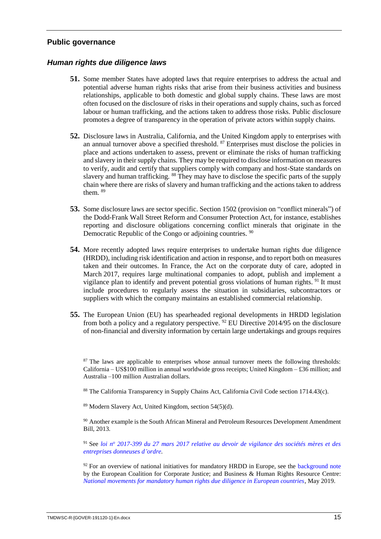#### <span id="page-18-0"></span>**Public governance**

#### <span id="page-18-1"></span>*Human rights due diligence laws*

- **51.** Some member States have adopted laws that require enterprises to address the actual and potential adverse human rights risks that arise from their business activities and business relationships, applicable to both domestic and global supply chains. These laws are most often focused on the disclosure of risks in their operations and supply chains, such as forced labour or human trafficking, and the actions taken to address those risks. Public disclosure promotes a degree of transparency in the operation of private actors within supply chains.
- **52.** Disclosure laws in Australia, California, and the United Kingdom apply to enterprises with an annual turnover above a specified threshold. <sup>87</sup> Enterprises must disclose the policies in place and actions undertaken to assess, prevent or eliminate the risks of human trafficking and slavery in their supply chains. They may be required to disclose information on measures to verify, audit and certify that suppliers comply with company and host-State standards on slavery and human trafficking. <sup>88</sup> They may have to disclose the specific parts of the supply chain where there are risks of slavery and human trafficking and the actions taken to address them. <sup>89</sup>
- **53.** Some disclosure laws are sector specific. Section 1502 (provision on "conflict minerals") of the Dodd-Frank Wall Street Reform and Consumer Protection Act, for instance, establishes reporting and disclosure obligations concerning conflict minerals that originate in the Democratic Republic of the Congo or adjoining countries. <sup>90</sup>
- **54.** More recently adopted laws require enterprises to undertake human rights due diligence (HRDD), including risk identification and action in response, and to report both on measures taken and their outcomes. In France, the Act on the corporate duty of care, adopted in March 2017, requires large multinational companies to adopt, publish and implement a vigilance plan to identify and prevent potential gross violations of human rights.<sup>91</sup> It must include procedures to regularly assess the situation in subsidiaries, subcontractors or suppliers with which the company maintains an established commercial relationship.
- **55.** The European Union (EU) has spearheaded regional developments in HRDD legislation from both a policy and a regulatory perspective. <sup>92</sup> EU Directive 2014/95 on the disclosure of non-financial and diversity information by certain large undertakings and groups requires

<sup>87</sup> The laws are applicable to enterprises whose annual turnover meets the following thresholds: California – US\$100 million in annual worldwide gross receipts; United Kingdom – £36 million; and Australia –100 million Australian dollars.

<sup>88</sup> The California Transparency in Supply Chains Act, California Civil Code section 1714.43(c).

<sup>89</sup> Modern Slavery Act, United Kingdom, section 54(5)(d).

<sup>90</sup> Another example is the South African Mineral and Petroleum Resources Development Amendment Bill, 2013*.*

<sup>91</sup> See *loi n<sup>o</sup> [2017-399 du 27 mars 2017 relative au devoir de vigilance des sociétés mères et des](https://www.legifrance.gouv.fr/affichTexte.do?cidTexte=JORFTEXT000034290626&categorieLien=id)  [entreprises donneuses d'ordre.](https://www.legifrance.gouv.fr/affichTexte.do?cidTexte=JORFTEXT000034290626&categorieLien=id)*

 $92$  For an overview of national initiatives for mandatory HRDD in Europe, see the [background note](http://corporatejustice.org/priorities/13-human-rights-due-diligence) by the European Coalition for Corporate Justice; and Business & Human Rights Resource Centre: *[National movements for mandatory human rights due diligence in European countries](https://www.business-humanrights.org/en/national-movements-for-mandatory-human-rights-due-diligence-in-european-countries)*, May 2019.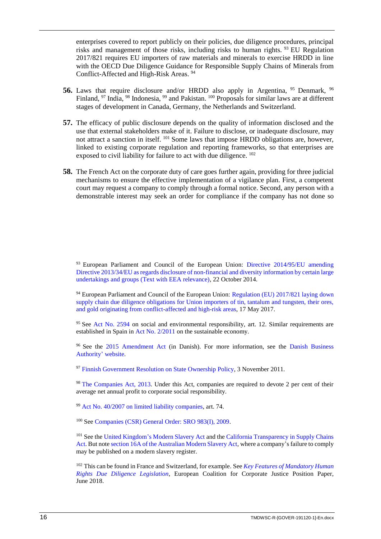enterprises covered to report publicly on their policies, due diligence procedures, principal risks and management of those risks, including risks to human rights. <sup>93</sup> EU Regulation 2017/821 requires EU importers of raw materials and minerals to exercise HRDD in line with the OECD Due Diligence Guidance for Responsible Supply Chains of Minerals from Conflict-Affected and High-Risk Areas. <sup>94</sup>

- **56.** Laws that require disclosure and/or HRDD also apply in Argentina, <sup>95</sup> Denmark, <sup>96</sup> Finland, <sup>97</sup> India, <sup>98</sup> Indonesia, <sup>99</sup> and Pakistan. <sup>100</sup> Proposals for similar laws are at different stages of development in Canada, Germany, the Netherlands and Switzerland.
- **57.** The efficacy of public disclosure depends on the quality of information disclosed and the use that external stakeholders make of it. Failure to disclose, or inadequate disclosure, may not attract a sanction in itself. <sup>101</sup> Some laws that impose HRDD obligations are, however, linked to existing corporate regulation and reporting frameworks, so that enterprises are exposed to civil liability for failure to act with due diligence.  $102$
- **58.** The French Act on the corporate duty of care goes further again, providing for three judicial mechanisms to ensure the effective implementation of a vigilance plan. First, a competent court may request a company to comply through a formal notice. Second, any person with a demonstrable interest may seek an order for compliance if the company has not done so

<sup>93</sup> European Parliament and Council of the European Union: Directive 2014/95/EU amending [Directive 2013/34/EU as regards disclosure of non-financial and diversity information by certain large](https://eur-lex.europa.eu/legal-content/EN/TXT/?uri=CELEX%3A32014L0095)  [undertakings and groups \(Text with EEA relevance\),](https://eur-lex.europa.eu/legal-content/EN/TXT/?uri=CELEX%3A32014L0095) 22 October 2014.

 $94$  European Parliament and Council of the European Union: [Regulation \(EU\) 2017/821 laying](https://eur-lex.europa.eu/legal-content/EN/TXT/?uri=CELEX%3A32017R0821) down [supply chain due diligence obligations for Union importers of tin, tantalum and tungsten, their ores,](https://eur-lex.europa.eu/legal-content/EN/TXT/?uri=CELEX%3A32017R0821)  [and gold originating from conflict-affected and high-risk areas,](https://eur-lex.europa.eu/legal-content/EN/TXT/?uri=CELEX%3A32017R0821) 17 May 2017.

<sup>95</sup> See [Act No. 2594](http://www.codigor.com.ar/brsa.htm) on social and environmental responsibility, art. 12. Similar requirements are established in Spain in [Act No. 2/2011](https://www.boe.es/buscar/act.php?id=BOE-A-2011-4117&p=20131230&tn=2) on the sustainable economy.

<sup>96</sup> See the [2015 Amendment Act](https://www.retsinformation.dk/Forms/R0710.aspx?id=170627) (in Danish). For more information, see the Danish Business [Authority'](https://danishbusinessauthority.dk/) website.

<sup>97</sup> [Finnish Government Resolution on State Ownership Policy,](https://vnk.fi/documents/10616/1221497/Periaatepaeaetoes03112011_eng.pdf/daf2cf64-ffea-4102-9c75-0803c227afeb) 3 November 2011.

<sup>98</sup> [The Companies](https://www.mca.gov.in/Ministry/pdf/CompaniesAct2013.pdf) Act, 2013*.* Under this Act, companies are required to devote 2 per cent of their average net annual profit to corporate social responsibility.

<sup>99</sup> [Act No. 40/2007 on limited liability companies,](http://www.flevin.com/id/lgso/translations/Laws/Law%20No.%2040%20of%202007%20on%20Limited%20Liability%20Companies%20(BKPM).pdf) art. 74.

<sup>100</sup> See [Companies \(CSR\) General Order: SRO 983\(I\), 2009.](https://www.coursehero.com/file/32282287/CSRpdf/)

<sup>101</sup> See th[e United Kingdom's Modern Slavery Act](http://www.legislation.gov.uk/ukpga/2015/30/contents/enacted) and the California Transparency in Supply Chains [Act.](https://oag.ca.gov/sites/all/files/agweb/pdfs/sb657/resource-guide.pdf) But not[e section 16A of the Australian Modern Slavery Act,](https://www.legislation.gov.au/Details/C2018A00153) where a company's failure to comply may be published on a modern slavery register.

<sup>102</sup> This can be found in France and Switzerland, for example. See *[Key Features of Mandatory Human](http://corporatejustice.org/eccj-position-paper-mhrdd-final_june2018_3.pdf)  [Rights Due Diligence Legislation](http://corporatejustice.org/eccj-position-paper-mhrdd-final_june2018_3.pdf)*, European Coalition for Corporate Justice Position Paper, June 2018.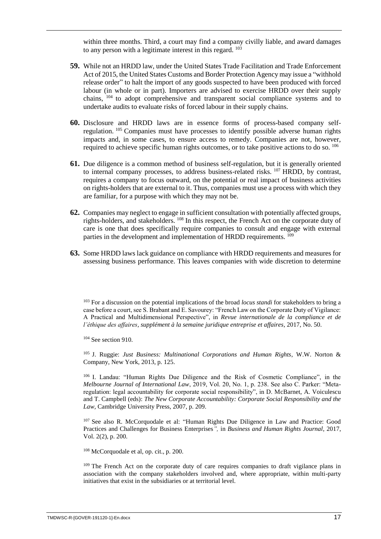within three months. Third, a court may find a company civilly liable, and award damages to any person with a legitimate interest in this regard. <sup>103</sup>

- **59.** While not an HRDD law, under the United States Trade Facilitation and Trade Enforcement Act of 2015, the United States Customs and Border Protection Agency may issue a "withhold release order" to halt the import of any goods suspected to have been produced with forced labour (in whole or in part). Importers are advised to exercise HRDD over their supply chains, <sup>104</sup> to adopt comprehensive and transparent social compliance systems and to undertake audits to evaluate risks of forced labour in their supply chains.
- **60.** Disclosure and HRDD laws are in essence forms of process-based company selfregulation. <sup>105</sup> Companies must have processes to identify possible adverse human rights impacts and, in some cases, to ensure access to remedy. Companies are not, however, required to achieve specific human rights outcomes, or to take positive actions to do so. <sup>106</sup>
- **61.** Due diligence is a common method of business self-regulation, but it is generally oriented to internal company processes, to address business-related risks. <sup>107</sup> HRDD, by contrast, requires a company to focus outward, on the potential or real impact of business activities on rights-holders that are external to it. Thus, companies must use a process with which they are familiar, for a purpose with which they may not be.
- **62.** Companies may neglect to engage in sufficient consultation with potentially affected groups, rights-holders, and stakeholders. <sup>108</sup> In this respect, the French Act on the corporate duty of care is one that does specifically require companies to consult and engage with external parties in the development and implementation of HRDD requirements. <sup>109</sup>
- **63.** Some HRDD laws lack guidance on compliance with HRDD requirements and measures for assessing business performance. This leaves companies with wide discretion to determine

<sup>103</sup> For a discussion on the potential implications of the broad *locus standi* for stakeholders to bring a case before a court, see S. Brabant and E. Savourey: "French Law on the Corporate Duty of Vigilance: A Practical and Multidimensional Perspective", in *Revue internationale de la compliance et de l'éthique des affaires*, *supplément à la semaine juridique entreprise et affaires*, 2017, No. 50.

 $104$  See section 910.

<sup>105</sup> J. Ruggie: *Just Business: Multinational Corporations and Human Rights*, W.W. Norton & Company, New York, 2013, p. 125.

<sup>106</sup> I. Landau: "Human Rights Due Diligence and the Risk of Cosmetic Compliance", in the *Melbourne Journal of International Law*, 2019, Vol. 20, No. 1, p. 238. See also C. Parker: "Metaregulation: legal accountability for corporate social responsibility", in D. McBarnet, A. Voiculescu and T. Campbell (eds): *The New Corporate Accountability: Corporate Social Responsibility and the Law,* Cambridge University Press, 2007, p. 209.

<sup>107</sup> See also R. McCorquodale et al: "Human Rights Due Diligence in Law and Practice: Good Practices and Challenges for Business Enterprises*",* in *Business and Human Rights Journal*, 2017, Vol. 2(2), p. 200.

<sup>108</sup> McCorquodale et al, op. cit., p. 200.

<sup>109</sup> The French Act on the corporate duty of care requires companies to draft vigilance plans in association with the company stakeholders involved and, where appropriate, within multi-party initiatives that exist in the subsidiaries or at territorial level.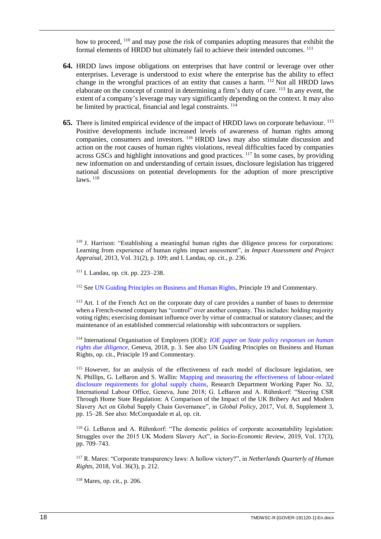how to proceed, <sup>110</sup> and may pose the risk of companies adopting measures that exhibit the formal elements of HRDD but ultimately fail to achieve their intended outcomes. <sup>111</sup>

- **64.** HRDD laws impose obligations on enterprises that have control or leverage over other enterprises. Leverage is understood to exist where the enterprise has the ability to effect change in the wrongful practices of an entity that causes a harm. <sup>112</sup> Not all HRDD laws elaborate on the concept of control in determining a firm's duty of care. <sup>113</sup> In any event, the extent of a company's leverage may vary significantly depending on the context. It may also be limited by practical, financial and legal constraints.  $114$
- **65.** There is limited empirical evidence of the impact of HRDD laws on corporate behaviour. <sup>115</sup> Positive developments include increased levels of awareness of human rights among companies, consumers and investors. <sup>116</sup> HRDD laws may also stimulate discussion and action on the root causes of human rights violations, reveal difficulties faced by companies across GSCs and highlight innovations and good practices. <sup>117</sup> In some cases, by providing new information on and understanding of certain issues, disclosure legislation has triggered national discussions on potential developments for the adoption of more prescriptive laws.  $118$

<sup>110</sup> J. Harrison: "Establishing a meaningful human rights due diligence process for corporations: Learning from experience of human rights impact assessment", in *Impact Assessment and Project Appraisal*, 2013, Vol. 31(2), p. 109; and I. Landau, op. cit., p. 236.

<sup>111</sup> I. Landau, op. cit. pp. 223–238.

<sup>112</sup> See [UN Guiding Principles on Business and Human Rights,](https://www.ohchr.org/documents/publications/GuidingprinciplesBusinesshr_eN.pdf) Principle 19 and Commentary.

<sup>113</sup> Art. 1 of the French Act on the corporate duty of care provides a number of bases to determine when a French-owned company has "control" over another company. This includes: holding majority voting rights; exercising dominant influence over by virtue of contractual or statutory clauses; and the maintenance of an established commercial relationship with subcontractors or suppliers.

<sup>114</sup> International Organisation of Employers (IOE): *[IOE paper on State policy responses on human](https://www.ioe-emp.org/fileadmin/ioe_documents/publications/Policy%20Areas/business_and_human_rights/EN/_20182505_C1031_IOE_paper_on_State_policy_responses_on_Human_Rights_Due_Diligence_-_FINAL.pdf)  [rights due diligence](https://www.ioe-emp.org/fileadmin/ioe_documents/publications/Policy%20Areas/business_and_human_rights/EN/_20182505_C1031_IOE_paper_on_State_policy_responses_on_Human_Rights_Due_Diligence_-_FINAL.pdf)*, Geneva, 2018, p. 3. See also UN Guiding Principles on Business and Human Rights, op. cit., Principle 19 and Commentary.

<sup>115</sup> However, for an analysis of the effectiveness of each model of disclosure legislation, see N. Phillips, G. LeBaron and S. Wallin: [Mapping and measuring the effectiveness of labour-related](https://www.ilo.org/wcmsp5/groups/public/---dgreports/---inst/documents/publication/wcms_632120.pdf)  disclosure [requirements for global supply chains,](https://www.ilo.org/wcmsp5/groups/public/---dgreports/---inst/documents/publication/wcms_632120.pdf) Research Department Working Paper No. 32, International Labour Office, Geneva, June 2018; G. LeBaron and A. Rühmkorf: "Steering CSR Through Home State Regulation: A Comparison of the Impact of the UK Bribery Act and Modern Slavery Act on Global Supply Chain Governance", in *Global Policy*, 2017, Vol. 8, Supplement 3, pp. 15–28. See also: McCorquodale et al, op. cit.

<sup>116</sup> G. LeBaron and A. Rühmkorf: "The domestic politics of corporate accountability legislation: Struggles over the 2015 UK Modern Slavery Act", in *Socio-Economic Review*, 2019, Vol. 17(3), pp. 709–743.

<sup>117</sup> R. Mares: "Corporate transparency laws: A hollow victory?", in *Netherlands Quarterly of Human Rights*, 2018, Vol. 36(3), p. 212.

<sup>118</sup> Mares, op. cit., p. 206.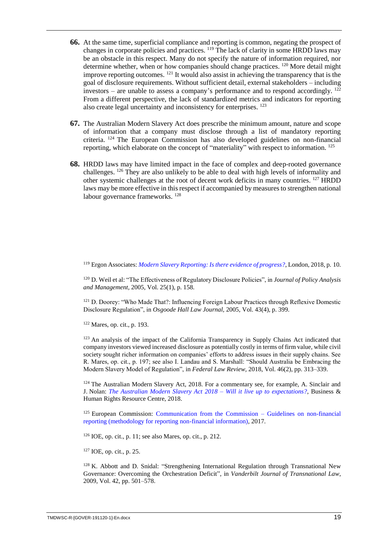- **66.** At the same time, superficial compliance and reporting is common, negating the prospect of changes in corporate policies and practices. <sup>119</sup> The lack of clarity in some HRDD laws may be an obstacle in this respect. Many do not specify the nature of information required, nor determine whether, when or how companies should change practices. <sup>120</sup> More detail might improve reporting outcomes. <sup>121</sup> It would also assist in achieving the transparency that is the goal of disclosure requirements. Without sufficient detail, external stakeholders – including investors – are unable to assess a company's performance and to respond accordingly.  $^{122}$ From a different perspective, the lack of standardized metrics and indicators for reporting also create legal uncertainty and inconsistency for enterprises. <sup>123</sup>
- **67.** The Australian Modern Slavery Act does prescribe the minimum amount, nature and scope of information that a company must disclose through a list of mandatory reporting criteria. <sup>124</sup> The European Commission has also developed guidelines on non-financial reporting, which elaborate on the concept of "materiality" with respect to information. <sup>125</sup>
- **68.** HRDD laws may have limited impact in the face of complex and deep-rooted governance challenges. <sup>126</sup> They are also unlikely to be able to deal with high levels of informality and other systemic challenges at the root of decent work deficits in many countries. <sup>127</sup> HRDD laws may be more effective in this respect if accompanied by measures to strengthen national labour governance frameworks. <sup>128</sup>

<sup>119</sup> Ergon Associates: *[Modern Slavery Reporting: Is there evidence of progress?](https://ergonassociates.net/wp-content/uploads/2018/10/Ergon_Modern_Slavery_Progress_2018_resource.pdf)*, London, 2018, p. 10.

<sup>120</sup> D. Weil et al: "The Effectiveness of Regulatory Disclosure Policies", in *Journal of Policy Analysis and Management*, 2005, Vol. 25(1), p. 158.

<sup>121</sup> D. Doorey: "Who Made That?: Influencing Foreign Labour Practices through Reflexive Domestic Disclosure Regulation", in *Osgoode Hall Law Journal,* 2005, Vol. 43(4), p. 399.

<sup>122</sup> Mares, op. cit., p. 193.

<sup>123</sup> An analysis of the impact of the California Transparency in Supply Chains Act indicated that company investors viewed increased disclosure as potentially costly in terms of firm value, while civil society sought richer information on companies' efforts to address issues in their supply chains. See R. Mares, op. cit., p. 197; see also I. Landau and S. Marshall: "Should Australia be Embracing the Modern Slavery Model of Regulation", in *Federal Law Review,* 2018, Vol. 46(2), pp. 313–339.

 $124$  The Australian Modern Slavery Act, 2018. For a commentary see, for example, A. Sinclair and J. Nolan: *[The Australian Modern Slavery Act 2018 –](https://www.business-humanrights.org/en/the-australian-modern-slavery-act-2018-%E2%80%93-will-it-live-up-to-expectations) Will it live up to expectations?*, Business & Human Rights Resource Centre, 2018.

 $125$  European Commission: [Communication from the Commission –](https://eur-lex.europa.eu/legal-content/EN/TXT/?uri=CELEX%3A52017XC0705%2801%29) Guidelines on non-financial [reporting \(methodology for reporting non-financial information\),](https://eur-lex.europa.eu/legal-content/EN/TXT/?uri=CELEX%3A52017XC0705%2801%29) 2017.

 $126$  IOE, op. cit., p. 11; see also Mares, op. cit., p. 212.

<sup>127</sup> IOE, op. cit., p. 25.

 $128$  K. Abbott and D. Snidal: "Strengthening International Regulation through Transnational New Governance: Overcoming the Orchestration Deficit", in *Vanderbilt Journal of Transnational Law*, 2009, Vol. 42, pp. 501–578.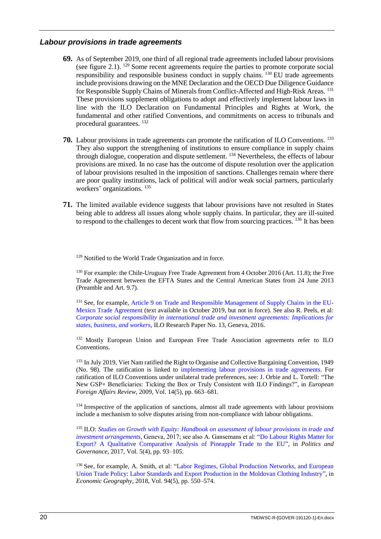## <span id="page-23-0"></span>*Labour provisions in trade agreements*

- **69.** As of September 2019, one third of all regional trade agreements included labour provisions (see figure 2.1).  $^{129}$  Some recent agreements require the parties to promote corporate social responsibility and responsible business conduct in supply chains. <sup>130</sup> EU trade agreements include provisions drawing on the MNE Declaration and the OECD Due Diligence Guidance for Responsible Supply Chains of Minerals from Conflict-Affected and High-Risk Areas. <sup>131</sup> These provisions supplement obligations to adopt and effectively implement labour laws in line with the ILO Declaration on Fundamental Principles and Rights at Work, the fundamental and other ratified Conventions, and commitments on access to tribunals and procedural guarantees. <sup>132</sup>
- **70.** Labour provisions in trade agreements can promote the ratification of ILO Conventions. <sup>133</sup> They also support the strengthening of institutions to ensure compliance in supply chains through dialogue, cooperation and dispute settlement. <sup>134</sup> Nevertheless, the effects of labour provisions are mixed. In no case has the outcome of dispute resolution over the application of labour provisions resulted in the imposition of sanctions. Challenges remain where there are poor quality institutions, lack of political will and/or weak social partners, particularly workers' organizations. <sup>135</sup>
- **71.** The limited available evidence suggests that labour provisions have not resulted in States being able to address all issues along whole supply chains. In particular, they are ill-suited to respond to the challenges to decent work that flow from sourcing practices. <sup>136</sup> It has been

<sup>129</sup> Notified to the World Trade Organization and in force.

<sup>130</sup> For example: the Chile-Uruguay Free Trade Agreement from 4 October 2016 (Art. 11.8); the Free Trade Agreement between the EFTA States and the Central American States from 24 June 2013 (Preamble and Art. 9.7).

<sup>131</sup> See, for example, [Article 9 on Trade and Responsible Management of Supply Chains in the EU-](https://trade.ec.europa.eu/doclib/docs/2018/april/tradoc_156822.pdf)[Mexico Trade Agreement](https://trade.ec.europa.eu/doclib/docs/2018/april/tradoc_156822.pdf) (text available in October 2019, but not in force). See also R. Peels, et al: *[Corporate social responsibility in international trade and investment agreements: Implications for](https://www.ilo.org/wcmsp5/groups/public/---dgreports/---inst/documents/publication/wcms_476193.pdf)  [states, business, and workers](https://www.ilo.org/wcmsp5/groups/public/---dgreports/---inst/documents/publication/wcms_476193.pdf)*, ILO Research Paper No. 13, Geneva, 2016.

<sup>132</sup> Mostly European Union and European Free Trade Association agreements refer to ILO Conventions.

<sup>133</sup> In July 2019, Viet Nam ratified the Right to Organise and Collective Bargaining Convention, 1949 (No. 98). The ratification is linked to [implementing labour provisions in trade agreements.](https://www.ilo.org/hanoi/Informationresources/Publicinformation/newsitems/WCMS_702194/lang--en/index.htm) For ratification of ILO Conventions under unilateral trade preferences, see: J. Orbie and L. Tortell: "The New GSP+ Beneficiaries: Ticking the Box or Truly Consistent with ILO Findings?", in *European Foreign Affairs Review*, 2009, Vol. 14(5), pp. 663–681.

<sup>134</sup> Irrespective of the application of sanctions, almost all trade agreements with labour provisions include a mechanism to solve disputes arising from non-compliance with labour obligations.

<sup>135</sup> ILO: *Studies on Growth [with Equity: Handbook on assessment of labour provisions in trade and](https://www.ilo.org/wcmsp5/groups/public/---dgreports/---inst/documents/publication/wcms_564702.pdf)  [investment arrangements](https://www.ilo.org/wcmsp5/groups/public/---dgreports/---inst/documents/publication/wcms_564702.pdf)*, Geneva, 2017; see also A. Gansemans et al: ["Do Labour Rights Matter for](https://www.researchgate.net/publication/321806876_Do_Labour_Rights_Matter_for_Export_A_Qualitative_Comparative_Analysis_of_Pineapple_Trade_to_the_EU)  [Export? A Qualitative Comparative Analysis of Pineapple Trade to the EU"](https://www.researchgate.net/publication/321806876_Do_Labour_Rights_Matter_for_Export_A_Qualitative_Comparative_Analysis_of_Pineapple_Trade_to_the_EU), in *Politics and Governance*, 2017, Vol. 5(4), pp. 93–105.

<sup>136</sup> See, for example, A. Smith, et al: "Labor Regimes, Global Production Networks, and European [Union Trade Policy: Labor Standards and Export Production in the Moldovan Clothing Industry"](https://www.tandfonline.com/doi/full/10.1080/00130095.2018.1434410?scroll=top&needAccess=true), in *Economic Geography*, 2018, Vol. 94(5), pp. 550–574.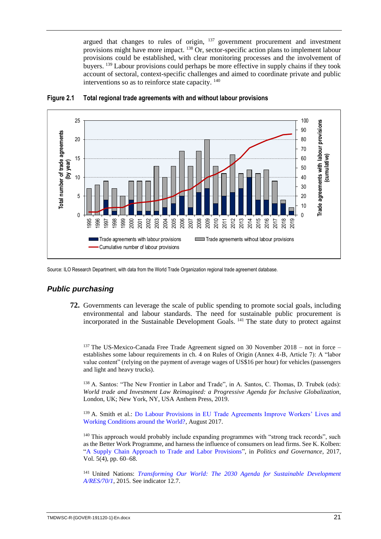argued that changes to rules of origin, <sup>137</sup> government procurement and investment provisions might have more impact. <sup>138</sup> Or, sector-specific action plans to implement labour provisions could be established, with clear monitoring processes and the involvement of buyers. <sup>139</sup> Labour provisions could perhaps be more effective in supply chains if they took account of sectoral, context-specific challenges and aimed to coordinate private and public interventions so as to reinforce state capacity. <sup>140</sup>



#### **Figure 2.1 Total regional trade agreements with and without labour provisions**

<span id="page-24-0"></span>Source: ILO Research Department, with data from the World Trade Organization regional trade agreement database.

# *Public purchasing*

**72.** Governments can leverage the scale of public spending to promote social goals, including environmental and labour standards. The need for sustainable public procurement is incorporated in the Sustainable Development Goals. <sup>141</sup> The state duty to protect against

 $137$  The US-Mexico-Canada Free Trade Agreement signed on 30 November 2018 – not in force – establishes some labour requirements in ch. 4 on Rules of Origin (Annex 4-B, Article 7): A "labor value content" (relying on the payment of average wages of US\$16 per hour) for vehicles (passengers and light and heavy trucks).

<sup>138</sup> A. Santos: "The New Frontier in Labor and Trade", in A. Santos, C. Thomas, D. Trubek (eds): *World trade and Investment Law Reimagined: a Progressive Agenda for Inclusive Globalization,*  London, UK; New York, NY, USA Anthem Press, 2019.

<sup>139</sup> A. Smith et al.: [Do Labour Provisions in EU Trade Agreements Improve Workers' Lives and](https://www.qmul.ac.uk/geog/media/geography/docs/research/working-beyond-the-border/Summary-findings.pdf)  [Working Conditions around the World?,](https://www.qmul.ac.uk/geog/media/geography/docs/research/working-beyond-the-border/Summary-findings.pdf) August 2017.

<sup>140</sup> This approach would probably include expanding programmes with "strong track records", such as the Better Work Programme, and harness the influence of consumers on lead firms. See K. Kolben: ["A Supply Chain Approach to Trade and Labor Provisions"](https://www.cogitatiopress.com/politicsandgovernance/article/view/1088/1088), in *Politics and Governance*, 2017, Vol. 5(4), pp. 60–68.

<sup>141</sup> United Nations: *Transforming Our World: The [2030 Agenda for Sustainable Development](https://sustainabledevelopment.un.org/content/documents/21252030%20Agenda%20for%20Sustainable%20Development%20web.pdf)  [A/RES/70/1](https://sustainabledevelopment.un.org/content/documents/21252030%20Agenda%20for%20Sustainable%20Development%20web.pdf)*, 2015. See indicator 12.7.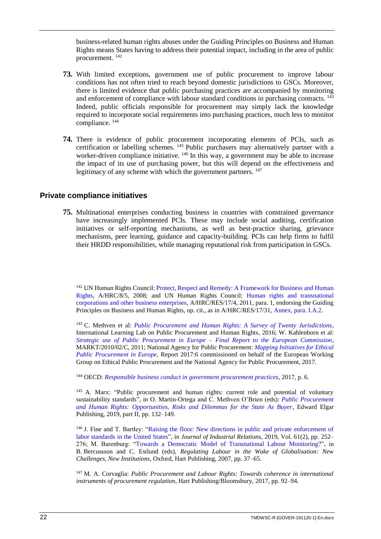business-related human rights abuses under the Guiding Principles on Business and Human Rights means States having to address their potential impact, including in the area of public procurement. <sup>142</sup>

- **73.** With limited exceptions, government use of public procurement to improve labour conditions has not often tried to reach beyond domestic jurisdictions to GSCs. Moreover, there is limited evidence that public purchasing practices are accompanied by monitoring and enforcement of compliance with labour standard conditions in purchasing contracts. <sup>143</sup> Indeed, public officials responsible for procurement may simply lack the knowledge required to incorporate social requirements into purchasing practices, much less to monitor compliance. <sup>144</sup>
- **74.** There is evidence of public procurement incorporating elements of PCIs, such as certification or labelling schemes.  $145$  Public purchasers may alternatively partner with a worker-driven compliance initiative. <sup>146</sup> In this way, a government may be able to increase the impact of its use of purchasing power, but this will depend on the effectiveness and legitimacy of any scheme with which the government partners. <sup>147</sup>

#### <span id="page-25-0"></span>**Private compliance initiatives**

**75.** Multinational enterprises conducting business in countries with constrained governance have increasingly implemented PCIs. These may include social auditing, certification initiatives or self-reporting mechanisms, as well as best-practice sharing, grievance mechanisms, peer learning, guidance and capacity-building. PCIs can help firms to fulfil their HRDD responsibilities, while managing reputational risk from participation in GSCs.

<sup>142</sup> UN Human Rights Council: Protect, Respect and Remedy: A Framework for Business and Human [Rights,](https://www.undocs.org/A/HRC/8/5) A/HRC/8/5, 2008; and UN Human Rights Council: [Human rights and transnational](https://documents-dds-ny.un.org/doc/RESOLUTION/GEN/G11/144/71/PDF/G1114471.pdf?OpenElement)  [corporations and other business enterprises,](https://documents-dds-ny.un.org/doc/RESOLUTION/GEN/G11/144/71/PDF/G1114471.pdf?OpenElement) A/HRC/RES/17/4, 2011, para. 1, endorsing the Guiding Principles on Business and Human Rights, op. cit., as in A/HRC/RES/17/31, [Annex, para. I.A.2.](https://www.ohchr.org/Documents/Issues/Business/A-HRC-17-31_AEV.pdf)

<sup>143</sup> C. Methven et al: *[Public Procurement and Human Rights: A Survey of Twenty Jurisdictions](https://static1.squarespace.com/static/583f3fca725e25fcd45aa446/t/5900c5c4e4fcb5975fae3e4d/1493222863537/Public-Procurement-and-Human-Rights-A-Survey-of-Twenty-Jurisdictions-Final.pdf)*, International Learning Lab on Public Procurement and Human Rights, 2016; W. Kahlenborn et al: *[Strategic use of Public Procurement in Europe –](https://publications.europa.eu/en/publication-detail/-/publication/05d1e581-571e-43ad-8597-649a7b655bd9/language-en) Final Report to the European Commission*, MARKT/2010/02/C, 2011; National Agency for Public Procurement: *[Mapping Initiatives for Ethical](https://www.upphandlingsmyndigheten.se/globalassets/publikationer/rapporter/rapport_2017_6_mapping_initiatives_webb.pdf)  [Public Procurement in Europe](https://www.upphandlingsmyndigheten.se/globalassets/publikationer/rapporter/rapport_2017_6_mapping_initiatives_webb.pdf)*, Report 2017:6 commissioned on behalf of the European Working Group on Ethical Public Procurement and the National Agency for Public Procurement, 2017.

<sup>144</sup> OECD: *[Responsible business conduct in government procurement practices](https://mneguidelines.oecd.org/Responsible-business-conduct-in-government-procurement-practices.pdf)*, 2017, p. 6.

<sup>145</sup> A. Marx: "Public procurement and human rights: current role and potential of voluntary sustainability standards", in O. Martin-Ortega and C. Methven O'Brien (eds): *[Public Procurement](https://www.e-elgar.com/shop/public-procurement-and-human-rights)  [and Human Rights: Opportunities, Risks and Dilemmas for the State As Buyer](https://www.e-elgar.com/shop/public-procurement-and-human-rights)*, Edward Elgar Publishing, 2019, part II, pp. 132–149.

<sup>146</sup> J. Fine and T. Bartley: "Raising the floor: New directions in public and private enforcement of [labor standards in the United States"](https://journals.sagepub.com/doi/pdf/10.1177/0022185618784100), in *Journal of Industrial Relations*, 2019, Vol. 61(2), pp. 252– 276; M. Barenburg: ["Towards a Democratic Model of Transnational Labour Monitoring?](https://wsr-network.org/wp-content/uploads/2018/06/MB-Participatory-Monitoring-PRESS-READY.pdf)", in B. Bercussson and C. Estlund (eds), *Regulating Labour in the Wake of Globalisation: New Challenges, New Institutions*, Oxford, Hart Publishing, 2007, pp. 37–65.

<sup>147</sup> M. A. Corvaglia: *Public Procurement and Labour Rights: Towards coherence in international instruments of procurement regulation*, Hart Publishing/Bloomsbury, 2017, pp. 92–94.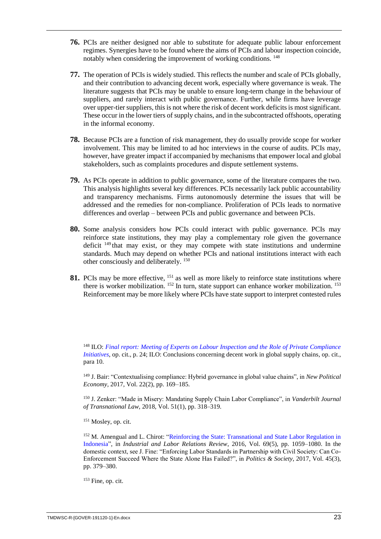- **76.** PCIs are neither designed nor able to substitute for adequate public labour enforcement regimes. Synergies have to be found where the aims of PCIs and labour inspection coincide, notably when considering the improvement of working conditions. <sup>148</sup>
- **77.** The operation of PCIs is widely studied. This reflects the number and scale of PCIs globally, and their contribution to advancing decent work, especially where governance is weak. The literature suggests that PCIs may be unable to ensure long-term change in the behaviour of suppliers, and rarely interact with public governance. Further, while firms have leverage over upper-tier suppliers, this is not where the risk of decent work deficits is most significant. These occur in the lower tiers of supply chains, and in the subcontracted offshoots, operating in the informal economy.
- **78.** Because PCIs are a function of risk management, they do usually provide scope for worker involvement. This may be limited to ad hoc interviews in the course of audits. PCIs may, however, have greater impact if accompanied by mechanisms that empower local and global stakeholders, such as complaints procedures and dispute settlement systems.
- **79.** As PCIs operate in addition to public governance, some of the literature compares the two. This analysis highlights several key differences. PCIs necessarily lack public accountability and transparency mechanisms. Firms autonomously determine the issues that will be addressed and the remedies for non-compliance. Proliferation of PCIs leads to normative differences and overlap – between PCIs and public governance and between PCIs.
- **80.** Some analysis considers how PCIs could interact with public governance. PCIs may reinforce state institutions, they may play a complementary role given the governance deficit <sup>149</sup> that may exist, or they may compete with state institutions and undermine standards. Much may depend on whether PCIs and national institutions interact with each other consciously and deliberately. <sup>150</sup>
- 81. PCIs may be more effective, <sup>151</sup> as well as more likely to reinforce state institutions where there is worker mobilization.  $152$  In turn, state support can enhance worker mobilization.  $153$ Reinforcement may be more likely where PCIs have state support to interpret contested rules

<sup>148</sup> ILO: *[Final report: Meeting of Experts on Labour Inspection and the Role of Private Compliance](https://www.ilo.org/wcmsp5/groups/public/---ed_dialogue/---lab_admin/documents/meetingdocument/wcms_235948.pdf)  [Initiatives](https://www.ilo.org/wcmsp5/groups/public/---ed_dialogue/---lab_admin/documents/meetingdocument/wcms_235948.pdf)*, op. cit., p. 24; ILO: Conclusions concerning decent work in global supply chains, op. cit., para 10.

<sup>149</sup> J. Bair: "Contextualising compliance: Hybrid governance in global value chains", in *New Political Economy,* 2017, Vol. 22(2), pp. 169–185.

<sup>150</sup> J. Zenker: "Made in Misery: Mandating Supply Chain Labor Compliance", in *Vanderbilt Journal of Transnational Law,* 2018, Vol. 51(1), pp. 318–319.

<sup>151</sup> Mosley, op. cit.

<sup>152</sup> M. Amengual and L. Chirot: "Reinforcing the State: Transnational and State Labor Regulation in [Indonesia"](https://journals.sagepub.com/doi/pdf/10.1177/0019793916654927), in *Industrial and Labor Relations Review*, 2016, Vol. 69(5), pp. 1059–1080. In the domestic context, see J. Fine: "Enforcing Labor Standards in Partnership with Civil Society: Can Co-Enforcement Succeed Where the State Alone Has Failed?", in *Politics & Society*, 2017, Vol. 45(3), pp. 379–380.

<sup>153</sup> Fine, op. cit.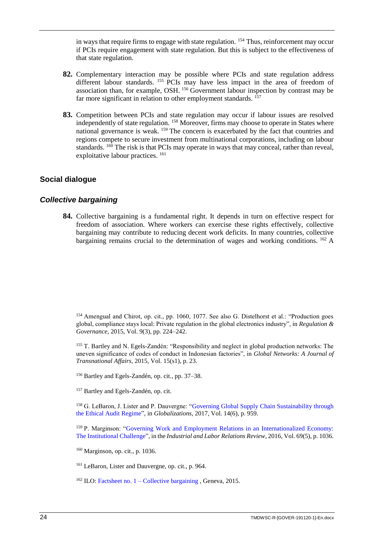in ways that require firms to engage with state regulation. <sup>154</sup> Thus, reinforcement may occur if PCIs require engagement with state regulation. But this is subject to the effectiveness of that state regulation.

- **82.** Complementary interaction may be possible where PCIs and state regulation address different labour standards. <sup>155</sup> PCIs may have less impact in the area of freedom of association than, for example, OSH. <sup>156</sup> Government labour inspection by contrast may be far more significant in relation to other employment standards.  $157$
- 83. Competition between PCIs and state regulation may occur if labour issues are resolved independently of state regulation. <sup>158</sup> Moreover, firms may choose to operate in States where national governance is weak. <sup>159</sup> The concern is exacerbated by the fact that countries and regions compete to secure investment from multinational corporations, including on labour standards.  $160$  The risk is that PCIs may operate in ways that may conceal, rather than reveal, exploitative labour practices. <sup>161</sup>

# <span id="page-27-0"></span>**Social dialogue**

## <span id="page-27-1"></span>*Collective bargaining*

**84.** Collective bargaining is a fundamental right. It depends in turn on effective respect for freedom of association. Where workers can exercise these rights effectively, collective bargaining may contribute to reducing decent work deficits. In many countries, collective bargaining remains crucial to the determination of wages and working conditions. <sup>162</sup> A

<sup>154</sup> Amengual and Chirot, op. cit., pp. 1060, 1077. See also G. Distelhorst et al.: "Production goes global, compliance stays local: Private regulation in the global electronics industry", in *Regulation & Governance*, 2015, Vol. 9(3), pp. 224–242.

<sup>155</sup> T. Bartley and N. Egels-Zandén: "Responsibility and neglect in global production networks: The uneven significance of codes of conduct in Indonesian factories", in *Global Networks: A Journal of Transnational Affairs*, 2015, Vol. 15(s1), p. 23.

- <sup>156</sup> Bartley and Egels-Zandén, op. cit., pp. 37–38.
- <sup>157</sup> Bartley and Egels-Zandén, op. cit.

<sup>158</sup> G. LeBaron, J. Lister and P. Dauvergne: "Governing Global Supply Chain Sustainability through [the Ethical Audit Regime"](https://www.tandfonline.com/doi/full/10.1080/14747731.2017.1304008), in *Globalizations*, 2017, Vol. 14(6), p. 959.

<sup>159</sup> P. Marginson: "Governing Work and Employment Relations in an Internationalized Economy: [The Institutional](https://journals.sagepub.com/doi/pdf/10.1177/0019793916654891) Challenge", in the *Industrial and Labor Relations Review*, 2016, Vol. 69(5), p. 1036.

<sup>160</sup> Marginson, op. cit., p. 1036.

<sup>161</sup> LeBaron, Lister and Dauvergne, op. cit., p. 964.

<sup>162</sup> ILO: Factsheet no.  $1 -$ [Collective bargaining](http://www.ilo.ch/wcmsp5/groups/public/---ed_protect/---protrav/---travail/documents/publication/wcms_436152.pdf), Geneva, 2015.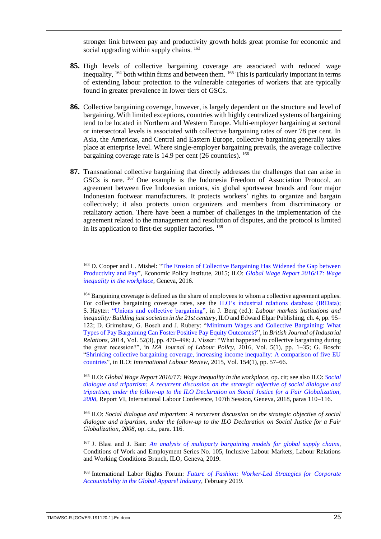stronger link between pay and productivity growth holds great promise for economic and social upgrading within supply chains. <sup>163</sup>

- **85.** High levels of collective bargaining coverage are associated with reduced wage inequality, <sup>164</sup> both within firms and between them. <sup>165</sup> This is particularly important in terms of extending labour protection to the vulnerable categories of workers that are typically found in greater prevalence in lower tiers of GSCs.
- **86.** Collective bargaining coverage, however, is largely dependent on the structure and level of bargaining. With limited exceptions, countries with highly centralized systems of bargaining tend to be located in Northern and Western Europe. Multi-employer bargaining at sectoral or intersectoral levels is associated with collective bargaining rates of over 78 per cent. In Asia, the Americas, and Central and Eastern Europe, collective bargaining generally takes place at enterprise level. Where single-employer bargaining prevails, the average collective bargaining coverage rate is  $14.9$  per cent (26 countries).  $166$
- **87.** Transnational collective bargaining that directly addresses the challenges that can arise in GSCs is rare. <sup>167</sup> One example is the Indonesia Freedom of Association Protocol, an agreement between five Indonesian unions, six global sportswear brands and four major Indonesian footwear manufacturers. It protects workers' rights to organize and bargain collectively; it also protects union organizers and members from discriminatory or retaliatory action. There have been a number of challenges in the implementation of the agreement related to the management and resolution of disputes, and the protocol is limited in its application to first-tier supplier factories. <sup>168</sup>

<sup>163</sup> D. Cooper and L. Mishel: ["The Erosion of Collective Bargaining Has Widened the Gap between](https://www.goiam.org/wp-content/uploads/2014/06/images_articles_news_economic-trends_productivitypay.pdf)  [Productivity and Pay"](https://www.goiam.org/wp-content/uploads/2014/06/images_articles_news_economic-trends_productivitypay.pdf), Economic Policy Institute, 2015; ILO: *[Global Wage Report 2016/17: Wage](https://www.ilo.org/wcmsp5/groups/public/---dgreports/---dcomm/---publ/documents/publication/wcms_537846.pdf#page=8)  [inequality in the workplace](https://www.ilo.org/wcmsp5/groups/public/---dgreports/---dcomm/---publ/documents/publication/wcms_537846.pdf#page=8)*, Geneva, 2016.

<sup>164</sup> Bargaining coverage is defined as the share of employees to whom a collective agreement applies. For collective bargaining coverage rates, see the [ILO's industrial relations database \(IRData\);](https://ilostat.ilo.org/topics/collective-bargaining/) S. Hayte[r: "Unions and collective bargaining",](https://www.ilo.org/wcmsp5/groups/public/---dgreports/---dcomm/---publ/documents/publication/wcms_347249.pdf) in J. Berg (ed.): *Labour markets institutions and inequality: Building just societies in the 21st century*, ILO and Edward Elgar Publishing, ch. 4, pp. 95– 122; D. Grimshaw, G. Bosch and J. Rubery: ["Minimum Wages and Collective Bargaining: What](https://onlinelibrary.wiley.com/doi/full/10.1111/bjir.12021)  [Types of Pay Bargaining Can Foster Positive Pay Equity Outcomes?"](https://onlinelibrary.wiley.com/doi/full/10.1111/bjir.12021), in *British Journal of Industrial Relations*, 2014, Vol. 52(3), pp. 470–498; J. Visser: "What happened to collective bargaining during the great recession?", in *IZA Journal of Labour Policy*, 2016, Vol. 5(1), pp. 1–35; G. Bosch: ["Shrinking collective bargaining coverage, increasing income inequality: A comparison of five EU](https://www.ilo.org/intranet/english/support/publ/revue/articles/2015-1/s7bosch.pdf)  [countries"](https://www.ilo.org/intranet/english/support/publ/revue/articles/2015-1/s7bosch.pdf), in ILO: *International Labour Review*, 2015, Vol. 154(1), pp. 57–66.

<sup>165</sup> ILO: *Global Wage Report 2016/17: Wage inequality in the workplace,* op. cit; see also ILO: *[Social](https://www.ilo.org/wcmsp5/groups/public/---ed_norm/---relconf/documents/meetingdocument/wcms_624015.pdf)  [dialogue and tripartism: A recurrent discussion on the strategic objective of social dialogue and](https://www.ilo.org/wcmsp5/groups/public/---ed_norm/---relconf/documents/meetingdocument/wcms_624015.pdf)  [tripartism, under the follow-up to the ILO Declaration on Social Justice for a Fair Globalization,](https://www.ilo.org/wcmsp5/groups/public/---ed_norm/---relconf/documents/meetingdocument/wcms_624015.pdf)  [2008](https://www.ilo.org/wcmsp5/groups/public/---ed_norm/---relconf/documents/meetingdocument/wcms_624015.pdf)*, Report VI, International Labour Conference, 107th Session, Geneva, 2018, paras 110–116.

<sup>166</sup> ILO: *Social dialogue and tripartism: A recurrent discussion on the strategic objective of social dialogue and tripartism, under the follow-up to the ILO Declaration on Social Justice for a Fair Globalization, 2008*, op. cit., para. 116.

<sup>167</sup> J. Blasi and J. Bair: *[An analysis of multiparty bargaining models for global supply chains](https://www.ilo.org/wcmsp5/groups/public/---ed_protect/---protrav/---travail/documents/publication/wcms_655541.pdf)*, Conditions of Work and Employment Series No. 105, Inclusive Labour Markets, Labour Relations and Working Conditions Branch, ILO, Geneva, 2019.

<sup>168</sup> International Labor Rights Forum: *Future of Fashion: [Worker-Led Strategies for Corporate](https://www.business-humanrights.org/sites/default/files/documents/Future_of_Fashion_ILRF.pdf)  [Accountability in the Global Apparel Industry](https://www.business-humanrights.org/sites/default/files/documents/Future_of_Fashion_ILRF.pdf)*, February 2019.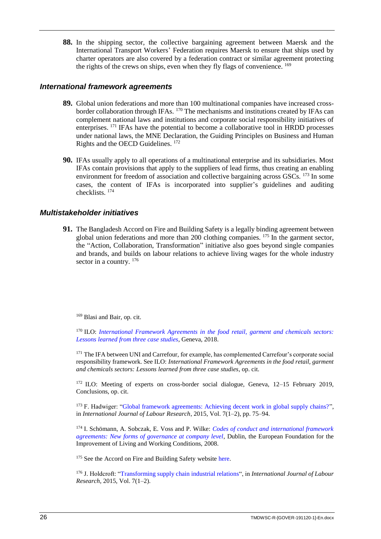**88.** In the shipping sector, the collective bargaining agreement between Maersk and the International Transport Workers' Federation requires Maersk to ensure that ships used by charter operators are also covered by a federation contract or similar agreement protecting the rights of the crews on ships, even when they fly flags of convenience. <sup>169</sup>

#### <span id="page-29-0"></span>*International framework agreements*

- **89.** Global union federations and more than 100 multinational companies have increased crossborder collaboration through IFAs. <sup>170</sup> The mechanisms and institutions created by IFAs can complement national laws and institutions and corporate social responsibility initiatives of enterprises. <sup>171</sup> IFAs have the potential to become a collaborative tool in HRDD processes under national laws, the MNE Declaration, the Guiding Principles on Business and Human Rights and the OECD Guidelines. <sup>172</sup>
- **90.** IFAs usually apply to all operations of a multinational enterprise and its subsidiaries. Most IFAs contain provisions that apply to the suppliers of lead firms, thus creating an enabling environment for freedom of association and collective bargaining across GSCs. <sup>173</sup> In some cases, the content of IFAs is incorporated into supplier's guidelines and auditing checklists. <sup>174</sup>

# <span id="page-29-1"></span>*Multistakeholder initiatives*

**91.** The Bangladesh Accord on Fire and Building Safety is a legally binding agreement between global union federations and more than 200 clothing companies. <sup>175</sup> In the garment sector, the "Action, Collaboration, Transformation" initiative also goes beyond single companies and brands, and builds on labour relations to achieve living wages for the whole industry sector in a country.  $176$ 

<sup>169</sup> Blasi and Bair, op. cit.

<sup>170</sup> ILO: *[International Framework Agreements in the food retail, garment and chemicals sectors:](https://www.ilo.org/wcmsp5/groups/public/---ed_dialogue/---sector/documents/publication/wcms_631043.pdf)  [Lessons learned from three case studies](https://www.ilo.org/wcmsp5/groups/public/---ed_dialogue/---sector/documents/publication/wcms_631043.pdf)*, Geneva, 2018.

<sup>171</sup> The IFA between UNI and Carrefour, for example, has complemented Carrefour's corporate social responsibility framework. See ILO: *International Framework Agreements in the food retail, garment and chemicals sectors: Lessons learned from three case studies*, op. cit.

<sup>172</sup> ILO: Meeting of experts on cross-border social dialogue, Geneva, 12-15 February 2019, Conclusions, op. cit.

<sup>173</sup> F. Hadwiger: ["Global framework agreements: Achieving decent work in global supply chains?"](https://www.ilo.org/public/libdoc/ilo/P/09238/P09238(2015-7-1-2)75-94.pdf), in *International Journal of Labour Research*, 2015, Vol. 7(1–2), pp. 75–94.

<sup>174</sup> I. Schömann, A. Sobczak, E. Voss and P. Wilke: *[Codes of conduct and international framework](https://www.eurofound.europa.eu/sites/default/files/ef_publication/field_ef_document/ef0792en.pdf)  [agreements: New forms of governance at company level](https://www.eurofound.europa.eu/sites/default/files/ef_publication/field_ef_document/ef0792en.pdf)*, Dublin, the European Foundation for the Improvement of Living and Working Conditions, 2008.

<sup>175</sup> See the Accord on Fire and Building Safety website [here.](https://bangladeshaccord.org/)

<sup>176</sup> J. Holdcroft: ["Transforming supply chain industrial relations"](https://www.ilo.org/public/libdoc/ilo/P/09238/P09238(2015-7-1-2)95-104.pdf), in *International Journal of Labour Research*, 2015, Vol. 7(1–2).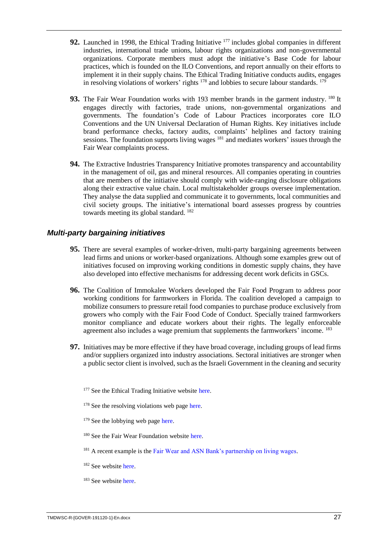- **92.** Launched in 1998, the Ethical Trading Initiative <sup>177</sup> includes global companies in different industries, international trade unions, labour rights organizations and non-governmental organizations. Corporate members must adopt the initiative's Base Code for labour practices, which is founded on the ILO Conventions, and report annually on their efforts to implement it in their supply chains. The Ethical Trading Initiative conducts audits, engages in resolving violations of workers' rights  $178$  and lobbies to secure labour standards.  $179$
- 93. The Fair Wear Foundation works with 193 member brands in the garment industry. <sup>180</sup> It engages directly with factories, trade unions, non-governmental organizations and governments. The foundation's Code of Labour Practices incorporates core ILO Conventions and the UN Universal Declaration of Human Rights. Key initiatives include brand performance checks, factory audits, complaints' helplines and factory training sessions. The foundation supports living wages  $181$  and mediates workers' issues through the Fair Wear complaints process.
- **94.** The Extractive Industries Transparency Initiative promotes transparency and accountability in the management of oil, gas and mineral resources. All companies operating in countries that are members of the initiative should comply with wide-ranging disclosure obligations along their extractive value chain. Local multistakeholder groups oversee implementation. They analyse the data supplied and communicate it to governments, local communities and civil society groups. The initiative's international board assesses progress by countries towards meeting its global standard. <sup>182</sup>

# <span id="page-30-0"></span>*Multi-party bargaining initiatives*

- **95.** There are several examples of worker-driven, multi-party bargaining agreements between lead firms and unions or worker-based organizations. Although some examples grew out of initiatives focused on improving working conditions in domestic supply chains, they have also developed into effective mechanisms for addressing decent work deficits in GSCs.
- **96.** The Coalition of Immokalee Workers developed the Fair Food Program to address poor working conditions for farmworkers in Florida. The coalition developed a campaign to mobilize consumers to pressure retail food companies to purchase produce exclusively from growers who comply with the Fair Food Code of Conduct. Specially trained farmworkers monitor compliance and educate workers about their rights. The legally enforceable agreement also includes a wage premium that supplements the farmworkers' income. <sup>183</sup>
- **97.** Initiatives may be more effective if they have broad coverage, including groups of lead firms and/or suppliers organized into industry associations. Sectoral initiatives are stronger when a public sector client is involved, such as the Israeli Government in the cleaning and security
	- <sup>177</sup> See the Ethical Trading Initiative website [here.](https://www.ethicaltrade.org/)
	- <sup>178</sup> See the resolving violations web page [here.](https://www.ethicaltrade.org/about-eti/what-we-do/resolving-violations)
	- <sup>179</sup> See the lobbying web page [here.](https://www.ethicaltrade.org/about-eti/what-we-do/lobbying)
	- <sup>180</sup> See the Fair Wear Foundation website [here.](https://www.fairwear.org/)
	- <sup>181</sup> A recent example is the [Fair Wear and ASN Bank's partnership on living wages.](https://www.fairwear.org/stories/fair-wear-and-asn-banks-partnership-on-living-wages)
	- <sup>182</sup> See website [here.](https://eiti.org/sites/default/files/documents/eiti_factsheet_en_09.2019.pdf)
	- <sup>183</sup> See website [here.](https://www.fairfoodprogram.org/)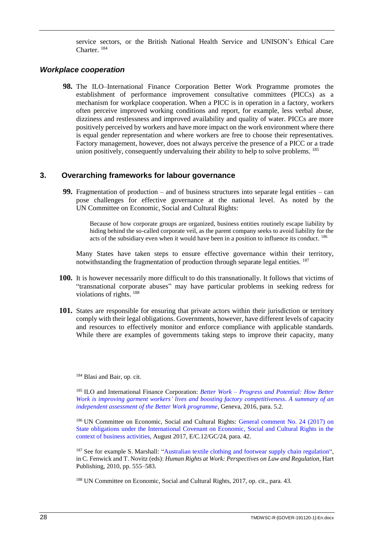service sectors, or the British National Health Service and UNISON's Ethical Care Charter. <sup>184</sup>

#### <span id="page-31-0"></span>*Workplace cooperation*

**98.** The ILO–International Finance Corporation Better Work Programme promotes the establishment of performance improvement consultative committees (PICCs) as a mechanism for workplace cooperation. When a PICC is in operation in a factory, workers often perceive improved working conditions and report, for example, less verbal abuse, dizziness and restlessness and improved availability and quality of water. PICCs are more positively perceived by workers and have more impact on the work environment where there is equal gender representation and where workers are free to choose their representatives. Factory management, however, does not always perceive the presence of a PICC or a trade union positively, consequently undervaluing their ability to help to solve problems. <sup>185</sup>

# <span id="page-31-1"></span>**3. Overarching frameworks for labour governance**

**99.** Fragmentation of production – and of business structures into separate legal entities – can pose challenges for effective governance at the national level. As noted by the UN Committee on Economic, Social and Cultural Rights:

Because of how corporate groups are organized, business entities routinely escape liability by hiding behind the so-called corporate veil, as the parent company seeks to avoid liability for the acts of the subsidiary even when it would have been in a position to influence its conduct. <sup>186</sup>

Many States have taken steps to ensure effective governance within their territory, notwithstanding the fragmentation of production through separate legal entities. <sup>187</sup>

- **100.** It is however necessarily more difficult to do this transnationally. It follows that victims of "transnational corporate abuses" may have particular problems in seeking redress for violations of rights. <sup>188</sup>
- **101.** States are responsible for ensuring that private actors within their jurisdiction or territory comply with their legal obligations. Governments, however, have different levels of capacity and resources to effectively monitor and enforce compliance with applicable standards. While there are examples of governments taking steps to improve their capacity, many

<sup>184</sup> Blasi and Bair, op. cit.

<sup>185</sup> ILO and International Finance Corporation: *Better Work – [Progress and Potential: How Better](https://betterwork.org/wp-content/uploads/2016/09/BW-Progress-and-Potential_Web-final.pdf)  Work is improving garment workers' [lives and boosting factory competitiveness](https://betterwork.org/wp-content/uploads/2016/09/BW-Progress-and-Potential_Web-final.pdf)*. *A summary of an [independent assessment of the Better Work programme](https://betterwork.org/wp-content/uploads/2016/09/BW-Progress-and-Potential_Web-final.pdf)*, Geneva, 2016, para. 5.2.

186 UN Committee on Economic, Social and Cultural Rights: General comment No. 24 (2017) on [State obligations under the International Covenant on Economic, Social and Cultural Rights in the](https://www.refworld.org/publisher,CESCR,,,5beaecba4,0.html)  [context of business activities,](https://www.refworld.org/publisher,CESCR,,,5beaecba4,0.html) August 2017, E/C.12/GC/24, para. 42.

<sup>187</sup> See for example S. Marshall: ["Australian textile clothing and footwear supply chain regulation"](https://research.monash.edu/en/publications/australian-textile-clothing-and-footwear-supply-chain-regulation), in C. Fenwick and T. Novitz (eds): *Human Rights at Work: Perspectives on Law and Regulation*, Hart Publishing, 2010, pp. 555–583.

<sup>188</sup> UN Committee on Economic, Social and Cultural Rights, 2017, op. cit., para. 43.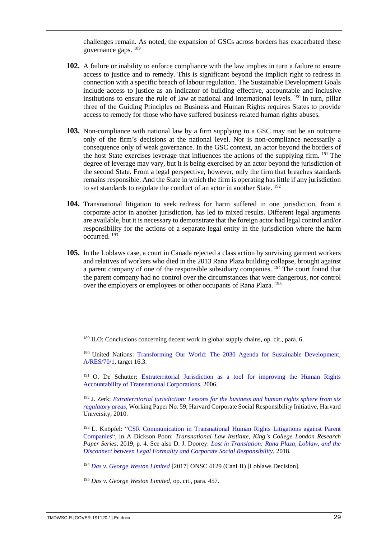challenges remain. As noted, the expansion of GSCs across borders has exacerbated these governance gaps. <sup>189</sup>

- **102.** A failure or inability to enforce compliance with the law implies in turn a failure to ensure access to justice and to remedy. This is significant beyond the implicit right to redress in connection with a specific breach of labour regulation. The Sustainable Development Goals include access to justice as an indicator of building effective, accountable and inclusive institutions to ensure the rule of law at national and international levels. <sup>190</sup> In turn, pillar three of the Guiding Principles on Business and Human Rights requires States to provide access to remedy for those who have suffered business-related human rights abuses.
- **103.** Non-compliance with national law by a firm supplying to a GSC may not be an outcome only of the firm's decisions at the national level. Nor is non-compliance necessarily a consequence only of weak governance. In the GSC context, an actor beyond the borders of the host State exercises leverage that influences the actions of the supplying firm. <sup>191</sup> The degree of leverage may vary, but it is being exercised by an actor beyond the jurisdiction of the second State. From a legal perspective, however, only the firm that breaches standards remains responsible. And the State in which the firm is operating has little if any jurisdiction to set standards to regulate the conduct of an actor in another State. <sup>192</sup>
- **104.** Transnational litigation to seek redress for harm suffered in one jurisdiction, from a corporate actor in another jurisdiction, has led to mixed results. Different legal arguments are available, but it is necessary to demonstrate that the foreign actor had legal control and/or responsibility for the actions of a separate legal entity in the jurisdiction where the harm occurred. <sup>193</sup>
- **105.** In the Loblaws case, a court in Canada rejected a class action by surviving garment workers and relatives of workers who died in the 2013 Rana Plaza building collapse, brought against a parent company of one of the responsible subsidiary companies. <sup>194</sup> The court found that the parent company had no control over the circumstances that were dangerous, nor control over the employers or employees or other occupants of Rana Plaza. <sup>195</sup>

<sup>189</sup> ILO: Conclusions concerning decent work in global supply chains, op. cit., para. 6.

<sup>190</sup> United Nations: Transforming Our World: The 2030 Agenda for Sustainable Development, [A/RES/70/1,](https://sustainabledevelopment.un.org/content/documents/21252030%20Agenda%20for%20Sustainable%20Development%20web.pdf) target 16.3.

<sup>191</sup> O. De Schutter: Extraterritorial Jurisdiction as a tool for improving the Human Rights [Accountability of Transnational Corporations,](https://www.business-humanrights.org/sites/default/files/reports-and-materials/Olivier-de-Schutter-report-for-SRSG-re-extraterritorial-jurisdiction-Dec-2006.pdf) 2006.

<sup>192</sup> J. Zerk: *[Extraterritorial jurisdiction: Lessons for the business and human rights sphere from six](https://www.hks.harvard.edu/sites/default/files/centers/mrcbg/programs/cri/files/workingpaper_59_zerk.pdf)  [regulatory areas](https://www.hks.harvard.edu/sites/default/files/centers/mrcbg/programs/cri/files/workingpaper_59_zerk.pdf)*, Working Paper No. 59, Harvard Corporate Social Responsibility Initiative, Harvard University, 2010.

<sup>193</sup> L. Knöpfel: ["CSR Communication in Transnational Human Rights Litigations against Parent](https://papers.ssrn.com/sol3/papers.cfm?abstract_id=3311545)  [Companies"](https://papers.ssrn.com/sol3/papers.cfm?abstract_id=3311545), in A Dickson Poon: *Transnational Law Institute, King's College London Research Paper Series,* 2019, p. 4. See also D. J. Doorey: *[Lost in Translation: Rana Plaza, Loblaw, and the](http://www.labourlawresearch.net/sites/default/files/papers/DooreyLostinTranslation.pdf)  [Disconnect between Legal Formality and Corporate Social Responsibility](http://www.labourlawresearch.net/sites/default/files/papers/DooreyLostinTranslation.pdf)*, 2018.

<sup>194</sup> *[Das v. George Weston Limited](http://www.csrandthelaw.com/wp-content/uploads/sites/2/2017/07/Das-v-George-Weston.compressed-1.pdf)* [2017] ONSC 4129 (CanLII) [Loblaws Decision].

<sup>195</sup> *Das v. George Weston Limited*, op. cit., para. 457.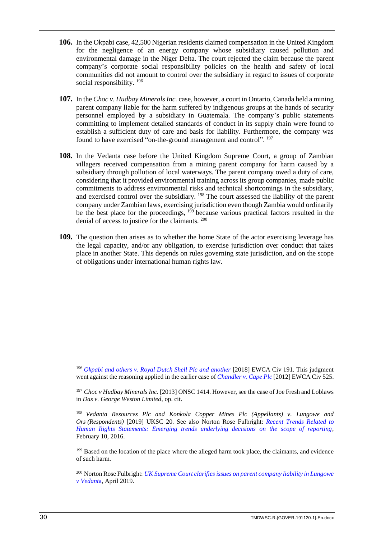- **106.** In the Okpabi case, 42,500 Nigerian residents claimed compensation in the United Kingdom for the negligence of an energy company whose subsidiary caused pollution and environmental damage in the Niger Delta. The court rejected the claim because the parent company's corporate social responsibility policies on the health and safety of local communities did not amount to control over the subsidiary in regard to issues of corporate social responsibility. <sup>196</sup>
- **107.** In the *Choc v. Hudbay Minerals Inc.* case, however, a court in Ontario, Canada held a mining parent company liable for the harm suffered by indigenous groups at the hands of security personnel employed by a subsidiary in Guatemala. The company's public statements committing to implement detailed standards of conduct in its supply chain were found to establish a sufficient duty of care and basis for liability. Furthermore, the company was found to have exercised "on-the-ground management and control". <sup>197</sup>
- **108.** In the Vedanta case before the United Kingdom Supreme Court, a group of Zambian villagers received compensation from a mining parent company for harm caused by a subsidiary through pollution of local waterways. The parent company owed a duty of care, considering that it provided environmental training across its group companies, made public commitments to address environmental risks and technical shortcomings in the subsidiary, and exercised control over the subsidiary. <sup>198</sup> The court assessed the liability of the parent company under Zambian laws, exercising jurisdiction even though Zambia would ordinarily be the best place for the proceedings, <sup>199</sup> because various practical factors resulted in the denial of access to justice for the claimants. <sup>200</sup>
- **109.** The question then arises as to whether the home State of the actor exercising leverage has the legal capacity, and/or any obligation, to exercise jurisdiction over conduct that takes place in another State. This depends on rules governing state jurisdiction, and on the scope of obligations under international human rights law.

<sup>196</sup> *[Okpabi and others v. Royal Dutch Shell Plc and another](https://www.business-humanrights.org/sites/default/files/documents/Shell%20Approved%20Judgment.pdf)* [2018] EWCA Civ 191. This judgment went against the reasoning applied in the earlier case of *[Chandler v. Cape Plc](http://www.bailii.org/ew/cases/EWCA/Civ/2012/525.html)* [2012] EWCA Civ 525.

<sup>197</sup> *Choc v Hudbay Minerals Inc.* [2013] ONSC 1414. However, see the case of Joe Fresh and Loblaws in *Das v. George Weston Limited*, op. cit.

<sup>198</sup> *Vedanta Resources Plc and Konkola Copper Mines Plc (Appellants) v. Lungowe and Ors (Respondents)* [2019] UKSC 20. See also Norton Rose Fulbright: *[Recent Trends Related to](https://www.nortonrosefulbright.com/en/knowledge/publications/3bb4a618/recent-trends-related-to-human-rights-statements)  [Human Rights Statements: Emerging trends underlying decisions on the scope of reporting,](https://www.nortonrosefulbright.com/en/knowledge/publications/3bb4a618/recent-trends-related-to-human-rights-statements)* February 10, 2016.

<sup>199</sup> Based on the location of the place where the alleged harm took place, the claimants, and evidence of such harm.

<sup>200</sup> Norton Rose Fulbright: *[UK Supreme Court clarifies issues on parent company liability in Lungowe](https://www.nortonrosefulbright.com/en-ca/knowledge/publications/70fc8211/uk-supreme-court-clarifies-issues-on-parent-company-liability-in-lungowe-v-vedanta)  [v Vedant](https://www.nortonrosefulbright.com/en-ca/knowledge/publications/70fc8211/uk-supreme-court-clarifies-issues-on-parent-company-liability-in-lungowe-v-vedanta)*a*,* April 2019.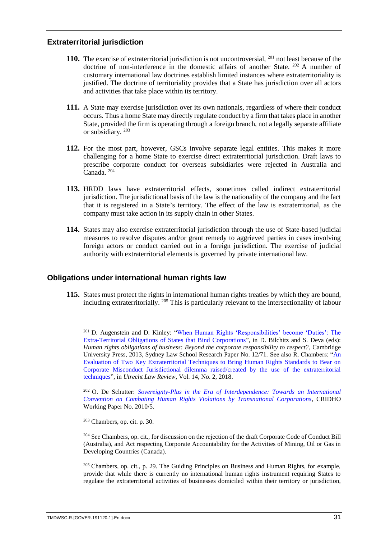## <span id="page-34-0"></span>**Extraterritorial jurisdiction**

- **110.** The exercise of extraterritorial jurisdiction is not uncontroversial, <sup>201</sup> not least because of the doctrine of non-interference in the domestic affairs of another State. <sup>202</sup> A number of customary international law doctrines establish limited instances where extraterritoriality is justified. The doctrine of territoriality provides that a State has jurisdiction over all actors and activities that take place within its territory.
- **111.** A State may exercise jurisdiction over its own nationals, regardless of where their conduct occurs. Thus a home State may directly regulate conduct by a firm that takes place in another State, provided the firm is operating through a foreign branch, not a legally separate affiliate or subsidiary. <sup>203</sup>
- **112.** For the most part, however, GSCs involve separate legal entities. This makes it more challenging for a home State to exercise direct extraterritorial jurisdiction. Draft laws to prescribe corporate conduct for overseas subsidiaries were rejected in Australia and Canada. <sup>204</sup>
- **113.** HRDD laws have extraterritorial effects, sometimes called indirect extraterritorial jurisdiction. The jurisdictional basis of the law is the nationality of the company and the fact that it is registered in a State's territory. The effect of the law is extraterritorial, as the company must take action in its supply chain in other States.
- **114.** States may also exercise extraterritorial jurisdiction through the use of State-based judicial measures to resolve disputes and/or grant remedy to aggrieved parties in cases involving foreign actors or conduct carried out in a foreign jurisdiction. The exercise of judicial authority with extraterritorial elements is governed by private international law.

#### <span id="page-34-1"></span>**Obligations under international human rights law**

**115.** States must protect the rights in international human rights treaties by which they are bound, including extraterritorially. <sup>205</sup> This is particularly relevant to the intersectionality of labour

<sup>201</sup> D. Augenstein and D. Kinley: ["When Human Rights 'Responsibilities' become 'Duties': The](https://papers.ssrn.com/sol3/papers.cfm?abstract_id=2149921)  [Extra-Territorial Obligations of States that Bind Corporations"](https://papers.ssrn.com/sol3/papers.cfm?abstract_id=2149921), in D. Bilchitz and S. Deva (eds): *Human rights obligations of business: Beyond the corporate responsibility to respect?*, Cambridge University Press, 2013, Sydney Law School Research Paper No. 12/71. See also R. Chambers: ["An](https://www.researchgate.net/publication/326081849_An_Evaluation_of_Two_Key_Extraterritorial_Techniques_to_Bring_Human_Rights_Standards_to_Bear_on_Corporate_Misconduct_Jurisdictional_dilemma_raisedcreated_by_the_use_of_the_extraterritorial_techniques)  [Evaluation of Two Key Extraterritorial Techniques to Bring Human Rights Standards to Bear on](https://www.researchgate.net/publication/326081849_An_Evaluation_of_Two_Key_Extraterritorial_Techniques_to_Bring_Human_Rights_Standards_to_Bear_on_Corporate_Misconduct_Jurisdictional_dilemma_raisedcreated_by_the_use_of_the_extraterritorial_techniques)  [Corporate Misconduct Jurisdictional dilemma raised/created by the use of the extraterritorial](https://www.researchgate.net/publication/326081849_An_Evaluation_of_Two_Key_Extraterritorial_Techniques_to_Bring_Human_Rights_Standards_to_Bear_on_Corporate_Misconduct_Jurisdictional_dilemma_raisedcreated_by_the_use_of_the_extraterritorial_techniques)  [techniques"](https://www.researchgate.net/publication/326081849_An_Evaluation_of_Two_Key_Extraterritorial_Techniques_to_Bring_Human_Rights_Standards_to_Bear_on_Corporate_Misconduct_Jurisdictional_dilemma_raisedcreated_by_the_use_of_the_extraterritorial_techniques), in *Utrecht Law Review*, Vol. 14, No. 2, 2018.

<sup>202</sup> O. De Schutter: *[Sovereignty-Plus in the Era of Interdependence: Towards an International](https://papers.ssrn.com/sol3/papers.cfm?abstract_id=2448107)  [Convention on Combating Human Rights Violations by Transnational Corporations](https://papers.ssrn.com/sol3/papers.cfm?abstract_id=2448107)*, CRIDHO Working Paper No. 2010/5.

<sup>203</sup> Chambers, op. cit. p. 30.

<sup>204</sup> See Chambers, op. cit., for discussion on the rejection of the draft Corporate Code of Conduct Bill (Australia), and Act respecting Corporate Accountability for the Activities of Mining, Oil or Gas in Developing Countries (Canada).

<sup>205</sup> Chambers, op. cit., p. 29. The Guiding Principles on Business and Human Rights, for example, provide that while there is currently no international human rights instrument requiring States to regulate the extraterritorial activities of businesses domiciled within their territory or jurisdiction,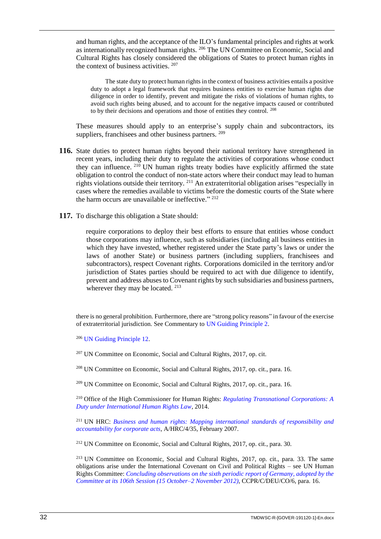and human rights, and the acceptance of the ILO's fundamental principles and rights at work as internationally recognized human rights. <sup>206</sup> The UN Committee on Economic, Social and Cultural Rights has closely considered the obligations of States to protect human rights in the context of business activities. 207

The state duty to protect human rights in the context of business activities entails a positive duty to adopt a legal framework that requires business entities to exercise human rights due diligence in order to identify, prevent and mitigate the risks of violations of human rights, to avoid such rights being abused, and to account for the negative impacts caused or contributed to by their decisions and operations and those of entities they control. <sup>208</sup>

These measures should apply to an enterprise's supply chain and subcontractors, its suppliers, franchisees and other business partners. <sup>209</sup>

- **116.** State duties to protect human rights beyond their national territory have strengthened in recent years, including their duty to regulate the activities of corporations whose conduct they can influence.  $210$  UN human rights treaty bodies have explicitly affirmed the state obligation to control the conduct of non-state actors where their conduct may lead to human rights violations outside their territory. <sup>211</sup> An extraterritorial obligation arises "especially in cases where the remedies available to victims before the domestic courts of the State where the harm occurs are unavailable or ineffective." 212
- **117.** To discharge this obligation a State should:

require corporations to deploy their best efforts to ensure that entities whose conduct those corporations may influence, such as subsidiaries (including all business entities in which they have invested, whether registered under the State party's laws or under the laws of another State) or business partners (including suppliers, franchisees and subcontractors), respect Covenant rights. Corporations domiciled in the territory and/or jurisdiction of States parties should be required to act with due diligence to identify, prevent and address abuses to Covenant rights by such subsidiaries and business partners, wherever they may be located. <sup>213</sup>

there is no general prohibition. Furthermore, there are "strong policy reasons" in favour of the exercise of extraterritorial jurisdiction. See Commentary to [UN Guiding Principle 2.](https://www.ohchr.org/documents/publications/GuidingprinciplesBusinesshr_eN.pdf)

<sup>206</sup> [UN Guiding Principle 12.](https://www.ohchr.org/documents/publications/GuidingprinciplesBusinesshr_eN.pdf)

<sup>207</sup> UN Committee on Economic, Social and Cultural Rights, 2017, op. cit.

<sup>208</sup> UN Committee on Economic, Social and Cultural Rights, 2017, op. cit., para. 16.

<sup>209</sup> UN Committee on Economic, Social and Cultural Rights, 2017, op. cit., para. 16.

<sup>210</sup> Office of the High Commissioner for Human Rights: *[Regulating Transnational Corporations: A](https://www.ohchr.org/Documents/Issues/Food/EcuadorMtgBusinessAndHR.pdf)  [Duty under International Human Rights Law](https://www.ohchr.org/Documents/Issues/Food/EcuadorMtgBusinessAndHR.pdf)*, 2014.

<sup>211</sup> UN HRC: *[Business and human rights: Mapping international](https://www.right-docs.org/doc/a-hrc-4-35/) standards of responsibility and [accountability for corporate acts](https://www.right-docs.org/doc/a-hrc-4-35/)*, A/HRC/4/35, February 2007.

<sup>212</sup> UN Committee on Economic, Social and Cultural Rights, 2017, op. cit., para. 30.

<sup>213</sup> UN Committee on Economic, Social and Cultural Rights, 2017, op. cit., para. 33. The same obligations arise under the International Covenant on Civil and Political Rights – see UN Human Rights Committee: *[Concluding observations on the sixth periodic report of Germany, adopted by the](https://undocs.org/ccpr/C/DEU/CO/6) Committee at its 106th [Session \(15 October–2 November 2012\)](https://undocs.org/ccpr/C/DEU/CO/6)*, CCPR/C/DEU/CO/6, para. 16.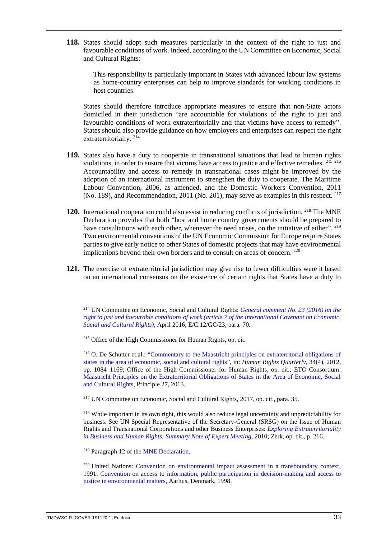**118.** States should adopt such measures particularly in the context of the right to just and favourable conditions of work. Indeed, according to the UN Committee on Economic, Social and Cultural Rights:

This responsibility is particularly important in States with advanced labour law systems as home-country enterprises can help to improve standards for working conditions in host countries.

States should therefore introduce appropriate measures to ensure that non-State actors domiciled in their jurisdiction "are accountable for violations of the right to just and favourable conditions of work extraterritorially and that victims have access to remedy". States should also provide guidance on how employers and enterprises can respect the right extraterritorially.<sup>214</sup>

- **119.** States also have a duty to cooperate in transnational situations that lead to human rights violations, in order to ensure that victims have access to justice and effective remedies. <sup>215</sup> <sup>216</sup> Accountability and access to remedy in transnational cases might be improved by the adoption of an international instrument to strengthen the duty to cooperate. The Maritime Labour Convention, 2006, as amended, and the Domestic Workers Convention, 2011 (No. 189), and Recommendation, 2011 (No. 201), may serve as examples in this respect. <sup>217</sup>
- **120.** International cooperation could also assist in reducing conflicts of jurisdiction. <sup>218</sup> The MNE Declaration provides that both "host and home country governments should be prepared to have consultations with each other, whenever the need arises, on the initiative of either". <sup>219</sup> Two environmental conventions of the UN Economic Commission for Europe require States parties to give early notice to other States of domestic projects that may have environmental implications beyond their own borders and to consult on areas of concern. 220
- **121.** The exercise of extraterritorial jurisdiction may give rise to fewer difficulties were it based on an international consensus on the existence of certain rights that States have a duty to

<sup>214</sup> UN Committee on Economic, Social and Cultural Rights: *[General comment No. 23 \(2016\) on the](https://www.refworld.org/docid/5550a0b14.html)  [right to just and favourable conditions of work \(article 7 of the International Covenant on Economic,](https://www.refworld.org/docid/5550a0b14.html)  [Social and Cultural Rights\)](https://www.refworld.org/docid/5550a0b14.html)*, April 2016, E/C.12/GC/23, para. 70.

<sup>215</sup> Office of the High Commissioner for Human Rights, op. cit.

<sup>216</sup> O. De Schutter et.al.: ["Commentary to the Maastricht principles on extraterritorial obligations of](http://eprints.lse.ac.uk/47404/1/__lse.ac.uk_storage_LIBRARY_Secondary_libfile_shared_repository_Content_Salomon%2C%20M_Commentary%20to%20Maastricht%20principles_Salomon_Commentary%20Maastricht%20principles_2015.pdf)  [states in the area of economic, social and cultural rights"](http://eprints.lse.ac.uk/47404/1/__lse.ac.uk_storage_LIBRARY_Secondary_libfile_shared_repository_Content_Salomon%2C%20M_Commentary%20to%20Maastricht%20principles_Salomon_Commentary%20Maastricht%20principles_2015.pdf), in: *Human Rights Quarterly*, 34(4), 2012, pp. 1084–1169; Office of the High Commissioner for Human Rights, op. cit.; ETO Consortium: [Maastricht Principles on the Extraterritorial Obligations of States in the Area of Economic, Social](https://www.fidh.org/IMG/pdf/maastricht-eto-principles-uk_web.pdf)  [and Cultural Rights,](https://www.fidh.org/IMG/pdf/maastricht-eto-principles-uk_web.pdf) Principle 27, 2013.

<sup>217</sup> UN Committee on Economic, Social and Cultural Rights, 2017, op. cit., para. 35.

<sup>218</sup> While important in its own right, this would also reduce legal uncertainty and unpredictability for business. See UN Special Representative of the Secretary-General (SRSG) on the Issue of Human Rights and Transnational Corporations and other Business Enterprises: *[Exploring Extraterritoriality](https://www.business-humanrights.org/sites/default/files/media/documents/ruggie-extraterritoriality-14-sep-2010.pdf)  [in Business and Human Rights: Summary Note of Expert Meeting](https://www.business-humanrights.org/sites/default/files/media/documents/ruggie-extraterritoriality-14-sep-2010.pdf)*, 2010; Zerk, op. cit., p. 216.

<sup>219</sup> Paragraph 12 of the [MNE Declaration.](https://www.ilo.org/wcmsp5/groups/public/---ed_emp/---emp_ent/---multi/documents/publication/wcms_094386.pdf)

<sup>220</sup> United Nations: [Convention on environmental impact assessment in a transboundary context,](https://www.unece.org/fileadmin/DAM/env/eia/documents/legaltexts/Espoo_Convention_authentic_ENG.pdf) 1991; Convention on access [to information, public participation in decision-making and access to](https://www.unece.org/fileadmin/DAM/env/pp/documents/cep43e.pdf)  [justice in environmental matters,](https://www.unece.org/fileadmin/DAM/env/pp/documents/cep43e.pdf) Aarhus, Denmark, 1998.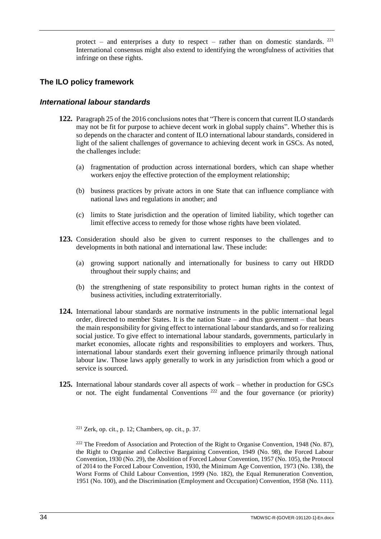protect – and enterprises a duty to respect – rather than on domestic standards. <sup>221</sup> International consensus might also extend to identifying the wrongfulness of activities that infringe on these rights.

# <span id="page-37-0"></span>**The ILO policy framework**

#### <span id="page-37-1"></span>*International labour standards*

- **122.** Paragraph 25 of the 2016 conclusions notes that "There is concern that current ILO standards may not be fit for purpose to achieve decent work in global supply chains". Whether this is so depends on the character and content of ILO international labour standards, considered in light of the salient challenges of governance to achieving decent work in GSCs. As noted, the challenges include:
	- (a) fragmentation of production across international borders, which can shape whether workers enjoy the effective protection of the employment relationship;
	- (b) business practices by private actors in one State that can influence compliance with national laws and regulations in another; and
	- (c) limits to State jurisdiction and the operation of limited liability, which together can limit effective access to remedy for those whose rights have been violated.
- **123.** Consideration should also be given to current responses to the challenges and to developments in both national and international law. These include:
	- (a) growing support nationally and internationally for business to carry out HRDD throughout their supply chains; and
	- (b) the strengthening of state responsibility to protect human rights in the context of business activities, including extraterritorially.
- **124.** International labour standards are normative instruments in the public international legal order, directed to member States. It is the nation State – and thus government – that bears the main responsibility for giving effect to international labour standards, and so for realizing social justice. To give effect to international labour standards, governments, particularly in market economies, allocate rights and responsibilities to employers and workers. Thus, international labour standards exert their governing influence primarily through national labour law. Those laws apply generally to work in any jurisdiction from which a good or service is sourced.
- **125.** International labour standards cover all aspects of work whether in production for GSCs or not. The eight fundamental Conventions  $222$  and the four governance (or priority)

 $221$  Zerk, op. cit., p. 12; Chambers, op. cit., p. 37.

 $222$  The Freedom of Association and Protection of the Right to Organise Convention, 1948 (No. 87), the Right to Organise and Collective Bargaining Convention, 1949 (No. 98), the Forced Labour Convention, 1930 (No. 29), the Abolition of Forced Labour Convention, 1957 (No. 105), the Protocol of 2014 to the Forced Labour Convention, 1930, the Minimum Age Convention, 1973 (No. 138), the Worst Forms of Child Labour Convention, 1999 (No. 182), the Equal Remuneration Convention, 1951 (No. 100), and the Discrimination (Employment and Occupation) Convention, 1958 (No. 111).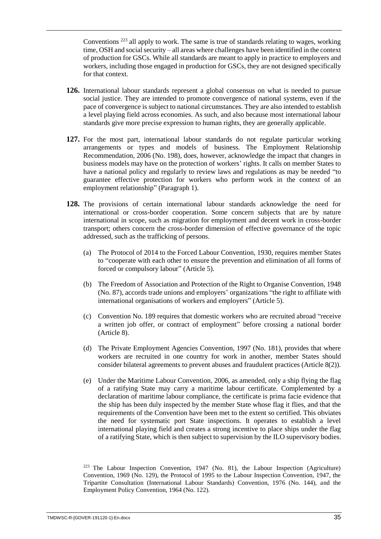Conventions <sup>223</sup> all apply to work. The same is true of standards relating to wages, working time, OSH and social security – all areas where challenges have been identified in the context of production for GSCs. While all standards are meant to apply in practice to employers and workers, including those engaged in production for GSCs, they are not designed specifically for that context.

- **126.** International labour standards represent a global consensus on what is needed to pursue social justice. They are intended to promote convergence of national systems, even if the pace of convergence is subject to national circumstances. They are also intended to establish a level playing field across economies. As such, and also because most international labour standards give more precise expression to human rights, they are generally applicable.
- **127.** For the most part, international labour standards do not regulate particular working arrangements or types and models of business. The Employment Relationship Recommendation, 2006 (No. 198), does, however, acknowledge the impact that changes in business models may have on the protection of workers' rights. It calls on member States to have a national policy and regularly to review laws and regulations as may be needed "to guarantee effective protection for workers who perform work in the context of an employment relationship" (Paragraph 1).
- **128.** The provisions of certain international labour standards acknowledge the need for international or cross-border cooperation. Some concern subjects that are by nature international in scope, such as migration for employment and decent work in cross-border transport; others concern the cross-border dimension of effective governance of the topic addressed, such as the trafficking of persons.
	- (a) The Protocol of 2014 to the Forced Labour Convention, 1930, requires member States to "cooperate with each other to ensure the prevention and elimination of all forms of forced or compulsory labour" (Article 5).
	- (b) The Freedom of Association and Protection of the Right to Organise Convention, 1948 (No. 87), accords trade unions and employers' organizations "the right to affiliate with international organisations of workers and employers" (Article 5).
	- (c) Convention No. 189 requires that domestic workers who are recruited abroad "receive a written job offer, or contract of employment" before crossing a national border (Article 8).
	- (d) The Private Employment Agencies Convention, 1997 (No. 181), provides that where workers are recruited in one country for work in another, member States should consider bilateral agreements to prevent abuses and fraudulent practices (Article 8(2)).
	- (e) Under the Maritime Labour Convention, 2006, as amended, only a ship flying the flag of a ratifying State may carry a maritime labour certificate. Complemented by a declaration of maritime labour compliance, the certificate is prima facie evidence that the ship has been duly inspected by the member State whose flag it flies, and that the requirements of the Convention have been met to the extent so certified. This obviates the need for systematic port State inspections. It operates to establish a level international playing field and creates a strong incentive to place ships under the flag of a ratifying State, which is then subject to supervision by the ILO supervisory bodies.

<sup>223</sup> The Labour Inspection Convention, 1947 (No. 81), the Labour Inspection (Agriculture) Convention, 1969 (No. 129), the Protocol of 1995 to the Labour Inspection Convention, 1947, the Tripartite Consultation (International Labour Standards) Convention, 1976 (No. 144), and the Employment Policy Convention, 1964 (No. 122).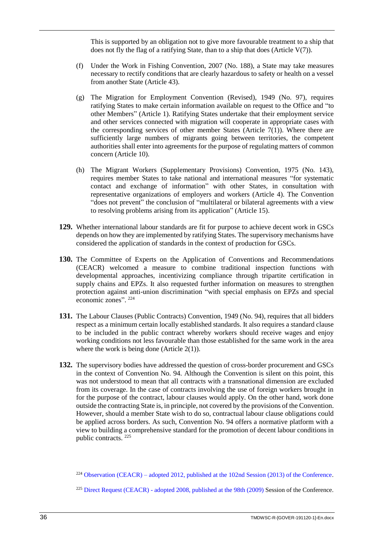This is supported by an obligation not to give more favourable treatment to a ship that does not fly the flag of a ratifying State, than to a ship that does (Article  $V(7)$ ).

- (f) Under the Work in Fishing Convention, 2007 (No. 188), a State may take measures necessary to rectify conditions that are clearly hazardous to safety or health on a vessel from another State (Article 43).
- (g) The Migration for Employment Convention (Revised), 1949 (No. 97), requires ratifying States to make certain information available on request to the Office and "to other Members" (Article 1). Ratifying States undertake that their employment service and other services connected with migration will cooperate in appropriate cases with the corresponding services of other member States (Article  $7(1)$ ). Where there are sufficiently large numbers of migrants going between territories, the competent authorities shall enter into agreements for the purpose of regulating matters of common concern (Article 10).
- (h) The Migrant Workers (Supplementary Provisions) Convention, 1975 (No. 143), requires member States to take national and international measures "for systematic contact and exchange of information" with other States, in consultation with representative organizations of employers and workers (Article 4). The Convention "does not prevent" the conclusion of "multilateral or bilateral agreements with a view to resolving problems arising from its application" (Article 15).
- **129.** Whether international labour standards are fit for purpose to achieve decent work in GSCs depends on how they are implemented by ratifying States. The supervisory mechanisms have considered the application of standards in the context of production for GSCs.
- **130.** The Committee of Experts on the Application of Conventions and Recommendations (CEACR) welcomed a measure to combine traditional inspection functions with developmental approaches, incentivizing compliance through tripartite certification in supply chains and EPZs. It also requested further information on measures to strengthen protection against anti-union discrimination "with special emphasis on EPZs and special economic zones". 224
- **131.** The Labour Clauses (Public Contracts) Convention, 1949 (No. 94), requires that all bidders respect as a minimum certain locally established standards. It also requires a standard clause to be included in the public contract whereby workers should receive wages and enjoy working conditions not less favourable than those established for the same work in the area where the work is being done (Article  $2(1)$ ).
- **132.** The supervisory bodies have addressed the question of cross-border procurement and GSCs in the context of Convention No. 94. Although the Convention is silent on this point, this was not understood to mean that all contracts with a transnational dimension are excluded from its coverage. In the case of contracts involving the use of foreign workers brought in for the purpose of the contract, labour clauses would apply. On the other hand, work done outside the contracting State is, in principle, not covered by the provisions of the Convention. However, should a member State wish to do so, contractual labour clause obligations could be applied across borders. As such, Convention No. 94 offers a normative platform with a view to building a comprehensive standard for the promotion of decent labour conditions in public contracts. <sup>225</sup>

<sup>224</sup> Observation (CEACR) – [adopted 2012, published at the 102nd Session \(2013\) of the Conference.](https://www.ilo.org/dyn/normlex/en/f?p=1000:13100:0::NO:13100:P13100_COMMENT_ID,P11110_COUNTRY_ID,P11110_COUNTRY_NAME,P11110_COMMENT_YEAR:3084418,102970,Philippines,2012)

<sup>&</sup>lt;sup>225</sup> Direct Request (CEACR) - [adopted 2008, published at the 98th \(2009\)](https://www.ilo.org/dyn/normlex/en/f?p=1000:13100:0::NO:13100:P13100_COMMENT_ID,P11110_COUNTRY_ID,P11110_COUNTRY_NAME,P11110_COMMENT_YEAR:2300055,102768,Netherlands,2008) Session of the Conference.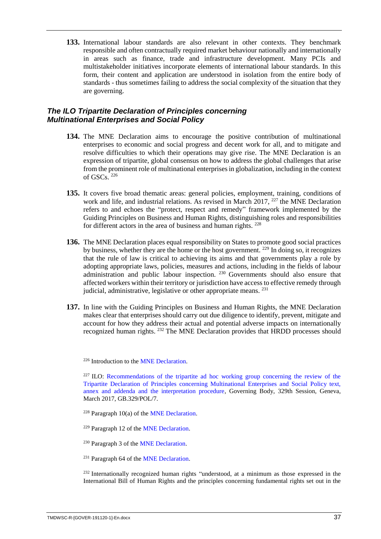**133.** International labour standards are also relevant in other contexts. They benchmark responsible and often contractually required market behaviour nationally and internationally in areas such as finance, trade and infrastructure development. Many PCIs and multistakeholder initiatives incorporate elements of international labour standards. In this form, their content and application are understood in isolation from the entire body of standards - thus sometimes failing to address the social complexity of the situation that they are governing.

# <span id="page-40-0"></span>*The ILO Tripartite Declaration of Principles concerning Multinational Enterprises and Social Policy*

- **134.** The MNE Declaration aims to encourage the positive contribution of multinational enterprises to economic and social progress and decent work for all, and to mitigate and resolve difficulties to which their operations may give rise. The MNE Declaration is an expression of tripartite, global consensus on how to address the global challenges that arise from the prominent role of multinational enterprises in globalization, including in the context of GSCs. <sup>226</sup>
- **135.** It covers five broad thematic areas: general policies, employment, training, conditions of work and life, and industrial relations. As revised in March 2017, <sup>227</sup> the MNE Declaration refers to and echoes the "protect, respect and remedy" framework implemented by the Guiding Principles on Business and Human Rights, distinguishing roles and responsibilities for different actors in the area of business and human rights. <sup>228</sup>
- **136.** The MNE Declaration places equal responsibility on States to promote good social practices by business, whether they are the home or the host government. <sup>229</sup> In doing so, it recognizes that the rule of law is critical to achieving its aims and that governments play a role by adopting appropriate laws, policies, measures and actions, including in the fields of labour administration and public labour inspection. <sup>230</sup> Governments should also ensure that affected workers within their territory or jurisdiction have access to effective remedy through judicial, administrative, legislative or other appropriate means. <sup>231</sup>
- **137.** In line with the Guiding Principles on Business and Human Rights, the MNE Declaration makes clear that enterprises should carry out due diligence to identify, prevent, mitigate and account for how they address their actual and potential adverse impacts on internationally recognized human rights. <sup>232</sup> The MNE Declaration provides that HRDD processes should

<sup>226</sup> Introduction to the [MNE Declaration.](https://www.ilo.org/wcmsp5/groups/public/---ed_emp/---emp_ent/---multi/documents/publication/wcms_094386.pdf)

 $227$  **ILO:** Recommendations of the tripartite ad hoc working group concerning the review of the [Tripartite Declaration of Principles concerning Multinational Enterprises and Social Policy text,](https://www.ilo.org/wcmsp5/groups/public/---ed_norm/---relconf/documents/meetingdocument/wcms_546496.pdf)  [annex and addenda and the interpretation procedure,](https://www.ilo.org/wcmsp5/groups/public/---ed_norm/---relconf/documents/meetingdocument/wcms_546496.pdf) Governing Body, 329th Session, Geneva, March 2017, GB.329/POL/7.

<sup>228</sup> Paragraph 10(a) of the **MNE** Declaration.

<sup>229</sup> Paragraph 12 of th[e MNE Declaration.](https://www.ilo.org/wcmsp5/groups/public/---ed_emp/---emp_ent/---multi/documents/publication/wcms_094386.pdf)

<sup>230</sup> Paragraph 3 of th[e MNE Declaration.](https://www.ilo.org/wcmsp5/groups/public/---ed_emp/---emp_ent/---multi/documents/publication/wcms_094386.pdf)

<sup>231</sup> Paragraph 64 of th[e MNE Declaration.](https://www.ilo.org/wcmsp5/groups/public/---ed_emp/---emp_ent/---multi/documents/publication/wcms_094386.pdf)

<sup>232</sup> Internationally recognized human rights "understood, at a minimum as those expressed in the International Bill of Human Rights and the principles concerning fundamental rights set out in the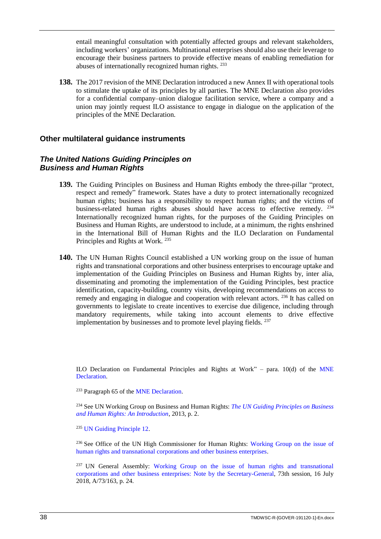entail meaningful consultation with potentially affected groups and relevant stakeholders, including workers' organizations. Multinational enterprises should also use their leverage to encourage their business partners to provide effective means of enabling remediation for abuses of internationally recognized human rights. <sup>233</sup>

**138.** The 2017 revision of the MNE Declaration introduced a new Annex II with operational tools to stimulate the uptake of its principles by all parties. The MNE Declaration also provides for a confidential company–union dialogue facilitation service, where a company and a union may jointly request ILO assistance to engage in dialogue on the application of the principles of the MNE Declaration.

# <span id="page-41-0"></span>**Other multilateral guidance instruments**

# <span id="page-41-1"></span>*The United Nations Guiding Principles on Business and Human Rights*

- **139.** The Guiding Principles on Business and Human Rights embody the three-pillar "protect, respect and remedy" framework. States have a duty to protect internationally recognized human rights; business has a responsibility to respect human rights; and the victims of business-related human rights abuses should have access to effective remedy. <sup>234</sup> Internationally recognized human rights, for the purposes of the Guiding Principles on Business and Human Rights, are understood to include, at a minimum, the rights enshrined in the International Bill of Human Rights and the ILO Declaration on Fundamental Principles and Rights at Work. <sup>235</sup>
- **140.** The UN Human Rights Council established a UN working group on the issue of human rights and transnational corporations and other business enterprises to encourage uptake and implementation of the Guiding Principles on Business and Human Rights by, inter alia, disseminating and promoting the implementation of the Guiding Principles, best practice identification, capacity-building, country visits, developing recommendations on access to remedy and engaging in dialogue and cooperation with relevant actors. <sup>236</sup> It has called on governments to legislate to create incentives to exercise due diligence, including through mandatory requirements, while taking into account elements to drive effective implementation by businesses and to promote level playing fields. <sup>237</sup>

ILO Declaration on Fundamental Principles and Rights at Work" – para.  $10(d)$  of the MNE [Declaration.](https://www.ilo.org/wcmsp5/groups/public/---ed_emp/---emp_ent/---multi/documents/publication/wcms_094386.pdf)

<sup>233</sup> Paragraph 65 of the [MNE Declaration.](https://www.ilo.org/wcmsp5/groups/public/---ed_emp/---emp_ent/---multi/documents/publication/wcms_094386.pdf)

<sup>234</sup> See UN Working Group on Business and Human Rights: *[The UN Guiding Principles on Business](https://www.ohchr.org/Documents/Issues/Business/Intro_Guiding_PrinciplesBusinessHR.pdf)  [and Human Rights: An Introduction](https://www.ohchr.org/Documents/Issues/Business/Intro_Guiding_PrinciplesBusinessHR.pdf)*, 2013, p. 2.

<sup>235</sup> [UN Guiding Principle 12.](https://www.ohchr.org/documents/publications/GuidingprinciplesBusinesshr_eN.pdf)

<sup>236</sup> See Office of the UN High Commissioner for Human Rights: Working Group on the issue of [human rights and transnational corporations and other business enterprises.](https://www.ohchr.org/EN/Issues/Business/Pages/WGHRandtransnationalcorporationsandotherbusiness.aspx)

<sup>237</sup> UN General Assembly: Working Group on the issue of human rights and transnational [corporations and other business enterprises: Note by the Secretary-General,](https://undocs.org/A/73/163) 73th session, 16 July 2018, A/73/163, p. 24.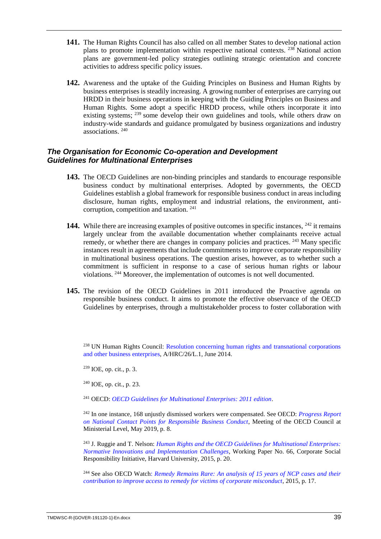- **141.** The Human Rights Council has also called on all member States to develop national action plans to promote implementation within respective national contexts. <sup>238</sup> National action plans are government-led policy strategies outlining strategic orientation and concrete activities to address specific policy issues.
- **142.** Awareness and the uptake of the Guiding Principles on Business and Human Rights by business enterprises is steadily increasing. A growing number of enterprises are carrying out HRDD in their business operations in keeping with the Guiding Principles on Business and Human Rights. Some adopt a specific HRDD process, while others incorporate it into existing systems; <sup>239</sup> some develop their own guidelines and tools, while others draw on industry-wide standards and guidance promulgated by business organizations and industry associations. <sup>240</sup>

# <span id="page-42-0"></span>*The Organisation for Economic Co-operation and Development Guidelines for Multinational Enterprises*

- **143.** The OECD Guidelines are non-binding principles and standards to encourage responsible business conduct by multinational enterprises. Adopted by governments, the OECD Guidelines establish a global framework for responsible business conduct in areas including disclosure, human rights, employment and industrial relations, the environment, anticorruption, competition and taxation. <sup>241</sup>
- **144.** While there are increasing examples of positive outcomes in specific instances, <sup>242</sup> it remains largely unclear from the available documentation whether complainants receive actual remedy, or whether there are changes in company policies and practices. <sup>243</sup> Many specific instances result in agreements that include commitments to improve corporate responsibility in multinational business operations. The question arises, however, as to whether such a commitment is sufficient in response to a case of serious human rights or labour violations. <sup>244</sup> Moreover, the implementation of outcomes is not well documented.
- **145.** The revision of the OECD Guidelines in 2011 introduced the Proactive agenda on responsible business conduct. It aims to promote the effective observance of the OECD Guidelines by enterprises, through a multistakeholder process to foster collaboration with

<sup>238</sup> UN Human Rights Council: Resolution concerning human rights and transnational corporations [and other business enterprises,](https://undocs.org/A/HRC/26/L.1) A/HRC/26/L.1, June 2014.

<sup>239</sup> IOE, op. cit., p. 3.

 $240$  IOE, op. cit., p. 23.

<sup>241</sup> OECD: *[OECD Guidelines for Multinational Enterprises: 2011 edition](http://www.oecd.org/daf/inv/mne/48004323.pdf)*.

<sup>242</sup> In one instance, 168 unjustly dismissed workers were compensated. See OECD: *[Progress Report](http://www.oecd.org/mcm/documents/NCPs%20-%20CMIN(2019)7%20-%20EN.pdf)  [on National Contact Points for Responsible Business Conduct](http://www.oecd.org/mcm/documents/NCPs%20-%20CMIN(2019)7%20-%20EN.pdf)*, Meeting of the OECD Council at Ministerial Level, May 2019, p. 8.

<sup>243</sup> J. Ruggie and T. Nelson: *[Human Rights and the OECD Guidelines for Multinational Enterprises:](https://www.hks.harvard.edu/sites/default/files/centers/mrcbg/programs/cri/files/workingpaper.66.oecd.pdf)  [Normative Innovations and Implementation Challenges](https://www.hks.harvard.edu/sites/default/files/centers/mrcbg/programs/cri/files/workingpaper.66.oecd.pdf)*, Working Paper No. 66, Corporate Social Responsibility Initiative, Harvard University, 2015, p. 20.

<sup>244</sup> See also OECD Watch: *Remedy [Remains Rare: An analysis of 15 years of NCP cases and their](https://www.oecdwatch.org/wp-content/uploads/sites/8/2015/06/Remedy-Remains-Rare.pdf)  [contribution to improve access to remedy for victims of corporate misconduct](https://www.oecdwatch.org/wp-content/uploads/sites/8/2015/06/Remedy-Remains-Rare.pdf)*, 2015, p. 17.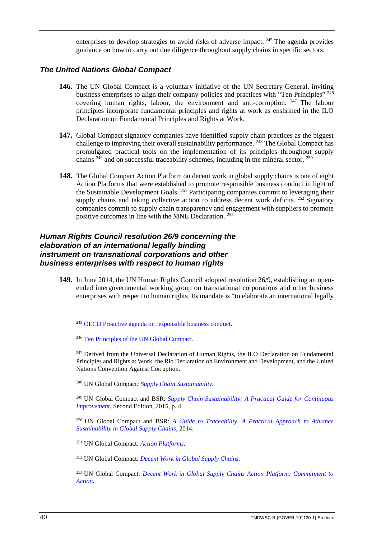enterprises to develop strategies to avoid risks of adverse impact. <sup>245</sup> The agenda provides guidance on how to carry out due diligence throughout supply chains in specific sectors.

#### <span id="page-43-0"></span>*The United Nations Global Compact*

- **146.** The UN Global Compact is a voluntary initiative of the UN Secretary-General, inviting business enterprises to align their company policies and practices with "Ten Principles" <sup>246</sup> covering human rights, labour, the environment and anti-corruption. <sup>247</sup> The labour principles incorporate fundamental principles and rights at work as enshrined in the ILO Declaration on Fundamental Principles and Rights at Work.
- **147.** Global Compact signatory companies have identified supply chain practices as the biggest challenge to improving their overall sustainability performance. <sup>248</sup> The Global Compact has promulgated practical tools on the implementation of its principles throughout supply chains  $^{249}$  and on successful traceability schemes, including in the mineral sector.  $^{250}$
- **148.** The Global Compact Action Platform on decent work in global supply chains is one of eight Action Platforms that were established to promote responsible business conduct in light of the Sustainable Development Goals. <sup>251</sup> Participating companies commit to leveraging their supply chains and taking collective action to address decent work deficits.  $252$  Signatory companies commit to supply chain transparency and engagement with suppliers to promote positive outcomes in line with the MNE Declaration. <sup>253</sup>

# <span id="page-43-1"></span>*Human Rights Council resolution 26/9 concerning the elaboration of an international legally binding instrument on transnational corporations and other business enterprises with respect to human rights*

**149.** In June 2014, the UN Human Rights Council adopted resolution 26/9, establishing an openended intergovernmental working group on transnational corporations and other business enterprises with respect to human rights. Its mandate is "to elaborate an international legally

<sup>245</sup> [OECD Proactive agenda on responsible business conduct.](https://mneguidelines.oecd.org/proactiveagenda.htm)

<sup>246</sup> [Ten Principles of the UN Global Compact.](https://www.unglobalcompact.org/what-is-gc/mission/principles)

<sup>247</sup> Derived from the Universal Declaration of Human Rights, the ILO Declaration on Fundamental Principles and Rights at Work, the Rio Declaration on Environment and Development, and the United Nations Convention Against Corruption.

<sup>248</sup> UN Global Compact*: [Supply Chain Sustainability.](https://www.unglobalcompact.org/what-is-gc/our-work/supply-chain)*

<sup>249</sup> UN Global Compact and BSR: *[Supply Chain Sustainability: A Practical Guide for Continuous](https://www.telenor.com/wp-content/uploads/2015/09/SupplyChainRep_spread.pdf)  [Improvement,](https://www.telenor.com/wp-content/uploads/2015/09/SupplyChainRep_spread.pdf)* Second Edition, 2015, p. 4.

<sup>250</sup> UN Global Compact and BSR: *[A Guide to Traceability. A Practical Approach to Advance](https://www.unglobalcompact.org/docs/issues_doc/supply_chain/Traceability/Guide_to_Traceability.pdf)  [Sustainability in Global Supply Chains](https://www.unglobalcompact.org/docs/issues_doc/supply_chain/Traceability/Guide_to_Traceability.pdf)*, 2014.

<sup>251</sup> UN Global Compact: *[Action Platforms](https://www.unglobalcompact.org/sdgs/action-platforms)*.

<sup>252</sup> UN Global Compact: *[Decent Work in Global Supply Chains.](https://www.unglobalcompact.org/take-action/action-platforms/decent-work-supply-chains)*

<sup>253</sup> UN Global Compact: *[Decent Work in Global Supply Chains Action Platform: Commitment to](https://www.unglobalcompact.org/docs/publications/ungc-decent-work-global-supply-chains-commitment.pdf)  [Action](https://www.unglobalcompact.org/docs/publications/ungc-decent-work-global-supply-chains-commitment.pdf)*.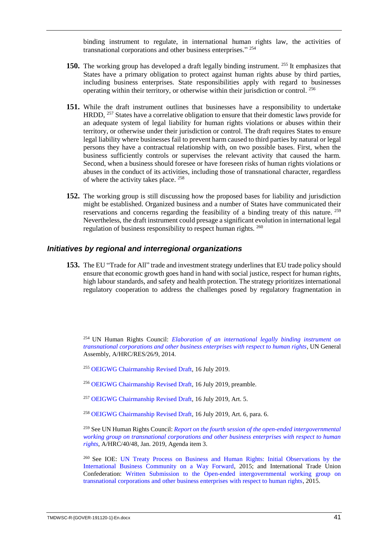binding instrument to regulate, in international human rights law, the activities of transnational corporations and other business enterprises." 254

- **150.** The working group has developed a draft legally binding instrument. <sup>255</sup> It emphasizes that States have a primary obligation to protect against human rights abuse by third parties, including business enterprises. State responsibilities apply with regard to businesses operating within their territory, or otherwise within their jurisdiction or control. <sup>256</sup>
- **151.** While the draft instrument outlines that businesses have a responsibility to undertake HRDD,  $^{257}$  States have a correlative obligation to ensure that their domestic laws provide for an adequate system of legal liability for human rights violations or abuses within their territory, or otherwise under their jurisdiction or control. The draft requires States to ensure legal liability where businesses fail to prevent harm caused to third parties by natural or legal persons they have a contractual relationship with, on two possible bases. First, when the business sufficiently controls or supervises the relevant activity that caused the harm. Second, when a business should foresee or have foreseen risks of human rights violations or abuses in the conduct of its activities, including those of transnational character, regardless of where the activity takes place. <sup>258</sup>
- **152.** The working group is still discussing how the proposed bases for liability and jurisdiction might be established. Organized business and a number of States have communicated their reservations and concerns regarding the feasibility of a binding treaty of this nature. <sup>259</sup> Nevertheless, the draft instrument could presage a significant evolution in international legal regulation of business responsibility to respect human rights. <sup>260</sup>

#### <span id="page-44-0"></span>*Initiatives by regional and interregional organizations*

**153.** The EU "Trade for All" trade and investment strategy underlines that EU trade policy should ensure that economic growth goes hand in hand with social justice, respect for human rights, high labour standards, and safety and health protection. The strategy prioritizes international regulatory cooperation to address the challenges posed by regulatory fragmentation in

<sup>254</sup> UN Human Rights Council: *[Elaboration of an international legally binding instrument on](https://undocs.org/A/HRC/RES/26/9)  [transnational corporations and other business enterprises with respect to human rights](https://undocs.org/A/HRC/RES/26/9)*, UN General Assembly, A/HRC/RES/26/9, 2014.

<sup>255</sup> [OEIGWG Chairmanship Revised Draft,](https://www.ohchr.org/Documents/HRBodies/HRCouncil/WGTransCorp/OEIGWG_RevisedDraft_LBI.pdf) 16 July 2019.

- <sup>256</sup> [OEIGWG Chairmanship Revised Draft,](https://www.ohchr.org/Documents/HRBodies/HRCouncil/WGTransCorp/OEIGWG_RevisedDraft_LBI.pdf) 16 July 2019, preamble*.*
- <sup>257</sup> [OEIGWG Chairmanship Revised Draft,](https://www.ohchr.org/Documents/HRBodies/HRCouncil/WGTransCorp/OEIGWG_RevisedDraft_LBI.pdf) 16 July 2019, Art. 5.
- <sup>258</sup> [OEIGWG Chairmanship Revised Draft,](https://www.ohchr.org/Documents/HRBodies/HRCouncil/WGTransCorp/OEIGWG_RevisedDraft_LBI.pdf) 16 July 2019, Art. 6, para. 6.

<sup>259</sup> See UN Human Rights Council: *[Report on the fourth session of the open-ended intergovernmental](https://undocs.org/a/hrc/40/48)  [working group on transnational corporations and other business enterprises with respect to human](https://undocs.org/a/hrc/40/48)  [rights](https://undocs.org/a/hrc/40/48)*, A/HRC/40/48, Jan. 2019, Agenda item 3.

<sup>260</sup> See IOE: [UN Treaty Process on Business and Human Rights: Initial Observations by the](https://www.ohchr.org/Documents/HRBodies/HRCouncil/WGTransCorp/Session1/IOE_contribution.pdf)  [International Business Community on a Way Forward,](https://www.ohchr.org/Documents/HRBodies/HRCouncil/WGTransCorp/Session1/IOE_contribution.pdf) 2015; and International Trade Union Confederation: [Written Submission to the Open-ended intergovernmental working group on](https://www.ohchr.org/Documents/HRBodies/HRCouncil/WGTransCorp/Session1/ITUC.doc)  [transnational corporations and other business enterprises with respect to human rights,](https://www.ohchr.org/Documents/HRBodies/HRCouncil/WGTransCorp/Session1/ITUC.doc) 2015.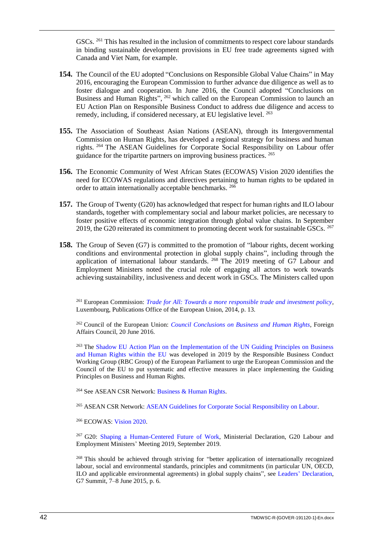GSCs. <sup>261</sup> This has resulted in the inclusion of commitments to respect core labour standards in binding sustainable development provisions in EU free trade agreements signed with Canada and Viet Nam, for example.

- **154.** The Council of the EU adopted "Conclusions on Responsible Global Value Chains" in May 2016, encouraging the European Commission to further advance due diligence as well as to foster dialogue and cooperation. In June 2016, the Council adopted "Conclusions on Business and Human Rights", <sup>262</sup> which called on the European Commission to launch an EU Action Plan on Responsible Business Conduct to address due diligence and access to remedy, including, if considered necessary, at EU legislative level. <sup>263</sup>
- **155.** The Association of Southeast Asian Nations (ASEAN), through its Intergovernmental Commission on Human Rights, has developed a regional strategy for business and human rights. <sup>264</sup> The ASEAN Guidelines for Corporate Social Responsibility on Labour offer guidance for the tripartite partners on improving business practices. <sup>265</sup>
- **156.** The Economic Community of West African States (ECOWAS) Vision 2020 identifies the need for ECOWAS regulations and directives pertaining to human rights to be updated in order to attain internationally acceptable benchmarks. <sup>266</sup>
- **157.** The Group of Twenty (G20) has acknowledged that respect for human rights and ILO labour standards, together with complementary social and labour market policies, are necessary to foster positive effects of economic integration through global value chains. In September 2019, the G20 reiterated its commitment to promoting decent work for sustainable GSCs.  $267$
- **158.** The Group of Seven (G7) is committed to the promotion of "labour rights, decent working conditions and environmental protection in global supply chains", including through the application of international labour standards. <sup>268</sup> The 2019 meeting of G7 Labour and Employment Ministers noted the crucial role of engaging all actors to work towards achieving sustainability, inclusiveness and decent work in GSCs. The Ministers called upon

<sup>261</sup> European Commission: *[Trade for All: Towards a more responsible trade and investment policy](https://trade.ec.europa.eu/doclib/docs/2015/october/tradoc_153846.pdf)*, Luxembourg, Publications Office of the European Union, 2014, p. 13.

<sup>262</sup> Council of the European Union: *[Council Conclusions on Business and Human Rights](https://ec.europa.eu/anti-trafficking/sites/antitrafficking/files/council_conclusions_on_business_and_human_rights_foreign_affairs_council.pdf)*, Foreign Affairs Council, 20 June 2016.

<sup>263</sup> The Shadow EU Action Plan on the Implementation of the UN Guiding Principles on Business [and Human Rights within the EU w](https://responsiblebusinessconduct.eu/wp/wp-content/uploads/2019/03/SHADOW-EU-Action-Plan-on-Business-and-Human-Rights.pdf)as developed in 2019 by the Responsible Business Conduct Working Group (RBC Group) of the European Parliament to urge the European Commission and the Council of the EU to put systematic and effective measures in place implementing the Guiding Principles on Business and Human Rights.

<sup>264</sup> See ASEAN CSR Network[: Business & Human Rights.](https://www.asean-csr-network.org/c/programs/business-a-human-rights)

<sup>265</sup> ASEAN CSR Network: [ASEAN Guidelines for Corporate Social Responsibility on Labour.](https://www.asean-csr-network.org/c/news-a-resources/csr-news-from-around-asean/843-asean-guidelines-for-csr-on-labour-adopted-at-the-24th-asean-labour-ministers-meeting)

<sup>266</sup> ECOWAS: [Vision](https://www.ecowas.int/about-ecowas/vision-2020/) 2020.

<sup>267</sup> G20: [Shaping a Human-Centered Future of Work,](https://www.ioe-emp.org/index.php?eID=dumpFile&t=f&f=145510&token=cda943a68cf5ee400a4bae67c4b88c1004e35730) Ministerial Declaration, G20 Labour and Employment Ministers' Meeting 2019, September 2019.

<sup>268</sup> This should be achieved through striving for "better application of internationally recognized labour, social and environmental standards, principles and commitments (in particular UN, OECD, ILO and applicable environmental agreements) in global supply chains", see Leaders' [Declaration,](https://www.g7germany.de/Content/EN/_Anlagen/G7/2015-06-08-g7-abschluss-eng_en___blob=publicationFile&v=3.pdf) G7 Summit, 7–8 June 2015, p. 6.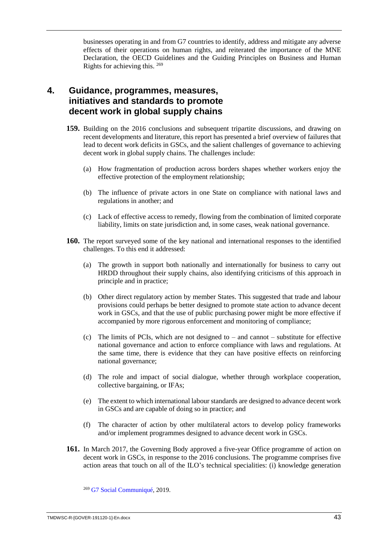businesses operating in and from G7 countries to identify, address and mitigate any adverse effects of their operations on human rights, and reiterated the importance of the MNE Declaration, the OECD Guidelines and the Guiding Principles on Business and Human Rights for achieving this. <sup>269</sup>

# <span id="page-46-0"></span>**4. Guidance, programmes, measures, initiatives and standards to promote decent work in global supply chains**

- **159.** Building on the 2016 conclusions and subsequent tripartite discussions, and drawing on recent developments and literature, this report has presented a brief overview of failures that lead to decent work deficits in GSCs, and the salient challenges of governance to achieving decent work in global supply chains. The challenges include:
	- (a) How fragmentation of production across borders shapes whether workers enjoy the effective protection of the employment relationship;
	- (b) The influence of private actors in one State on compliance with national laws and regulations in another; and
	- (c) Lack of effective access to remedy, flowing from the combination of limited corporate liability, limits on state jurisdiction and, in some cases, weak national governance.
- **160.** The report surveyed some of the key national and international responses to the identified challenges. To this end it addressed:
	- (a) The growth in support both nationally and internationally for business to carry out HRDD throughout their supply chains, also identifying criticisms of this approach in principle and in practice;
	- (b) Other direct regulatory action by member States. This suggested that trade and labour provisions could perhaps be better designed to promote state action to advance decent work in GSCs, and that the use of public purchasing power might be more effective if accompanied by more rigorous enforcement and monitoring of compliance;
	- (c) The limits of PCIs, which are not designed to and cannot substitute for effective national governance and action to enforce compliance with laws and regulations. At the same time, there is evidence that they can have positive effects on reinforcing national governance;
	- (d) The role and impact of social dialogue, whether through workplace cooperation, collective bargaining, or IFAs;
	- (e) The extent to which international labour standards are designed to advance decent work in GSCs and are capable of doing so in practice; and
	- (f) The character of action by other multilateral actors to develop policy frameworks and/or implement programmes designed to advance decent work in GSCs.
- **161.** In March 2017, the Governing Body approved a five-year Office programme of action on decent work in GSCs, in response to the 2016 conclusions. The programme comprises five action areas that touch on all of the ILO's technical specialities: (i) knowledge generation

<sup>269</sup> [G7 Social Communiqué,](http://www.g8.utoronto.ca/employment/2019-social-communique.pdf) 2019.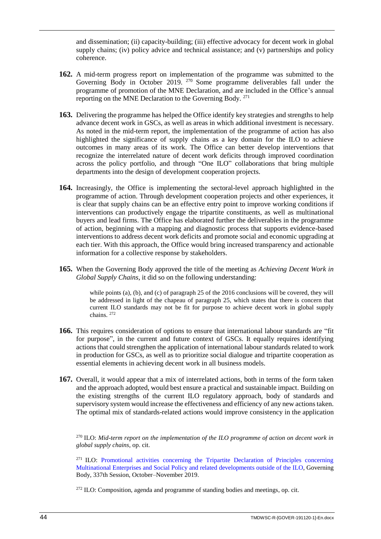and dissemination; (ii) capacity-building; (iii) effective advocacy for decent work in global supply chains; (iv) policy advice and technical assistance; and (v) partnerships and policy coherence.

- **162.** A mid-term progress report on implementation of the programme was submitted to the Governing Body in October 2019. <sup>270</sup> Some programme deliverables fall under the programme of promotion of the MNE Declaration, and are included in the Office's annual reporting on the MNE Declaration to the Governing Body. <sup>271</sup>
- **163.** Delivering the programme has helped the Office identify key strategies and strengths to help advance decent work in GSCs, as well as areas in which additional investment is necessary. As noted in the mid-term report, the implementation of the programme of action has also highlighted the significance of supply chains as a key domain for the ILO to achieve outcomes in many areas of its work. The Office can better develop interventions that recognize the interrelated nature of decent work deficits through improved coordination across the policy portfolio, and through "One ILO" collaborations that bring multiple departments into the design of development cooperation projects.
- **164.** Increasingly, the Office is implementing the sectoral-level approach highlighted in the programme of action. Through development cooperation projects and other experiences, it is clear that supply chains can be an effective entry point to improve working conditions if interventions can productively engage the tripartite constituents, as well as multinational buyers and lead firms. The Office has elaborated further the deliverables in the programme of action, beginning with a mapping and diagnostic process that supports evidence-based interventions to address decent work deficits and promote social and economic upgrading at each tier. With this approach, the Office would bring increased transparency and actionable information for a collective response by stakeholders.
- **165.** When the Governing Body approved the title of the meeting as *Achieving Decent Work in Global Supply Chains*, it did so on the following understanding:

while points (a), (b), and (c) of paragraph 25 of the 2016 conclusions will be covered, they will be addressed in light of the chapeau of paragraph 25, which states that there is concern that current ILO standards may not be fit for purpose to achieve decent work in global supply chains. <sup>272</sup>

- **166.** This requires consideration of options to ensure that international labour standards are "fit for purpose", in the current and future context of GSCs. It equally requires identifying actions that could strengthen the application of international labour standards related to work in production for GSCs, as well as to prioritize social dialogue and tripartite cooperation as essential elements in achieving decent work in all business models.
- **167.** Overall, it would appear that a mix of interrelated actions, both in terms of the form taken and the approach adopted, would best ensure a practical and sustainable impact. Building on the existing strengths of the current ILO regulatory approach, body of standards and supervisory system would increase the effectiveness and efficiency of any new actions taken. The optimal mix of standards-related actions would improve consistency in the application

<sup>270</sup> ILO: *Mid-term report on the implementation of the ILO programme of action on decent work in global supply chains*, op. cit.

 $271$  **ILO:** Promotional activities concerning the Tripartite Declaration of Principles concerning [Multinational Enterprises and Social Policy and related developments outside of the ILO,](https://www.ilo.org/wcmsp5/groups/public/---ed_norm/---relconf/documents/meetingdocument/wcms_722059.pdf) Governing Body, 337th Session, October–November 2019.

<sup>272</sup> ILO: Composition, agenda and programme of standing bodies and meetings, op. cit.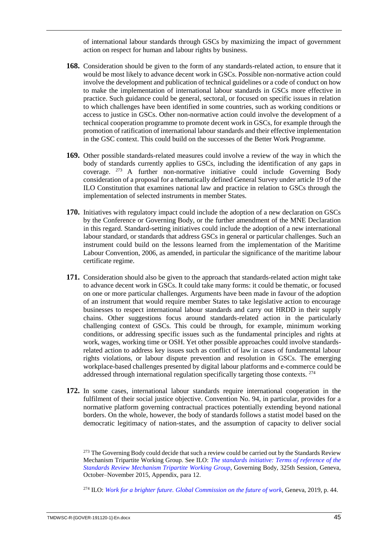of international labour standards through GSCs by maximizing the impact of government action on respect for human and labour rights by business.

- **168.** Consideration should be given to the form of any standards-related action, to ensure that it would be most likely to advance decent work in GSCs. Possible non-normative action could involve the development and publication of technical guidelines or a code of conduct on how to make the implementation of international labour standards in GSCs more effective in practice. Such guidance could be general, sectoral, or focused on specific issues in relation to which challenges have been identified in some countries, such as working conditions or access to justice in GSCs. Other non-normative action could involve the development of a technical cooperation programme to promote decent work in GSCs, for example through the promotion of ratification of international labour standards and their effective implementation in the GSC context. This could build on the successes of the Better Work Programme.
- **169.** Other possible standards-related measures could involve a review of the way in which the body of standards currently applies to GSCs, including the identification of any gaps in coverage. <sup>273</sup> A further non-normative initiative could include Governing Body consideration of a proposal for a thematically defined General Survey under article 19 of the ILO Constitution that examines national law and practice in relation to GSCs through the implementation of selected instruments in member States.
- **170.** Initiatives with regulatory impact could include the adoption of a new declaration on GSCs by the Conference or Governing Body, or the further amendment of the MNE Declaration in this regard. Standard-setting initiatives could include the adoption of a new international labour standard, or standards that address GSCs in general or particular challenges. Such an instrument could build on the lessons learned from the implementation of the Maritime Labour Convention, 2006, as amended, in particular the significance of the maritime labour certificate regime.
- **171.** Consideration should also be given to the approach that standards-related action might take to advance decent work in GSCs. It could take many forms: it could be thematic, or focused on one or more particular challenges. Arguments have been made in favour of the adoption of an instrument that would require member States to take legislative action to encourage businesses to respect international labour standards and carry out HRDD in their supply chains. Other suggestions focus around standards-related action in the particularly challenging context of GSCs. This could be through, for example, minimum working conditions, or addressing specific issues such as the fundamental principles and rights at work, wages, working time or OSH. Yet other possible approaches could involve standardsrelated action to address key issues such as conflict of law in cases of fundamental labour rights violations, or labour dispute prevention and resolution in GSCs. The emerging workplace-based challenges presented by digital labour platforms and e-commerce could be addressed through international regulation specifically targeting those contexts. <sup>274</sup>
- **172.** In some cases, international labour standards require international cooperation in the fulfilment of their social justice objective. Convention No. 94, in particular, provides for a normative platform governing contractual practices potentially extending beyond national borders. On the whole, however, the body of standards follows a statist model based on the democratic legitimacy of nation-states, and the assumption of capacity to deliver social

<sup>274</sup> ILO: *[Work for a brighter future. Global Commission on the future of work](https://www.ilo.org/wcmsp5/groups/public/---dgreports/---cabinet/documents/publication/wcms_662410.pdf)*, Geneva, 2019, p. 44.

<sup>&</sup>lt;sup>273</sup> The Governing Body could decide that such a review could be carried out by the Standards Review Mechanism Tripartite Working Group. See ILO: *[The standards initiative: Terms of reference of the](https://www.ilo.org/wcmsp5/groups/public/---ed_norm/---relconf/documents/meetingdocument/wcms_420260.pdf)  [Standards Review Mechanism Tripartite](https://www.ilo.org/wcmsp5/groups/public/---ed_norm/---relconf/documents/meetingdocument/wcms_420260.pdf) Working Group*, Governing Body, 325th Session, Geneva, October–November 2015, Appendix, para 12.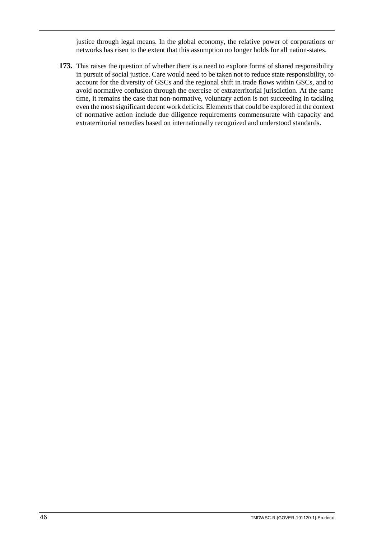justice through legal means. In the global economy, the relative power of corporations or networks has risen to the extent that this assumption no longer holds for all nation-states.

**173.** This raises the question of whether there is a need to explore forms of shared responsibility in pursuit of social justice. Care would need to be taken not to reduce state responsibility, to account for the diversity of GSCs and the regional shift in trade flows within GSCs, and to avoid normative confusion through the exercise of extraterritorial jurisdiction. At the same time, it remains the case that non-normative, voluntary action is not succeeding in tackling even the most significant decent work deficits. Elements that could be explored in the context of normative action include due diligence requirements commensurate with capacity and extraterritorial remedies based on internationally recognized and understood standards.